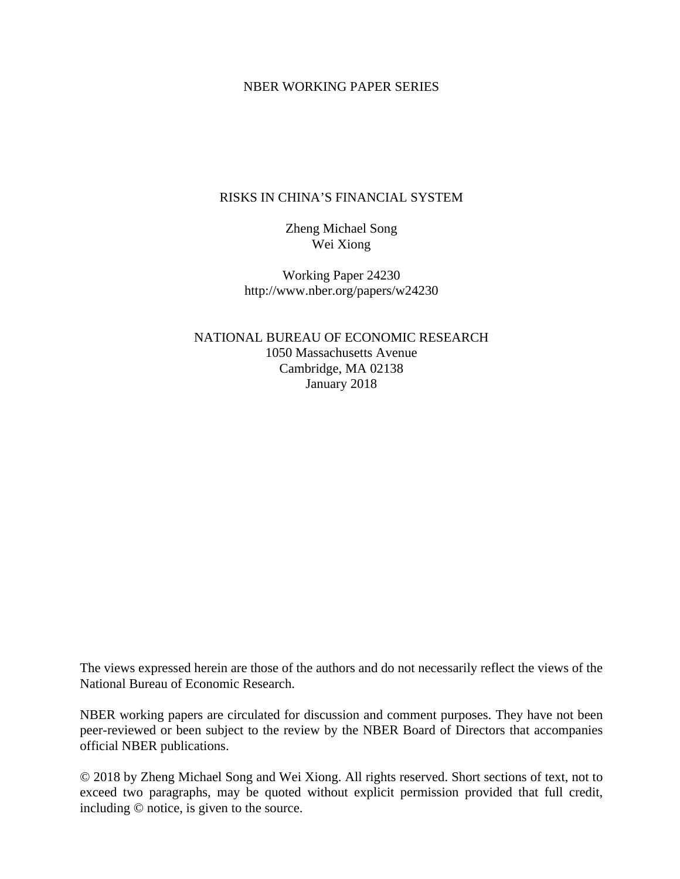## NBER WORKING PAPER SERIES

# RISKS IN CHINA'S FINANCIAL SYSTEM

Zheng Michael Song Wei Xiong

Working Paper 24230 http://www.nber.org/papers/w24230

NATIONAL BUREAU OF ECONOMIC RESEARCH 1050 Massachusetts Avenue Cambridge, MA 02138 January 2018

The views expressed herein are those of the authors and do not necessarily reflect the views of the National Bureau of Economic Research.

NBER working papers are circulated for discussion and comment purposes. They have not been peer-reviewed or been subject to the review by the NBER Board of Directors that accompanies official NBER publications.

© 2018 by Zheng Michael Song and Wei Xiong. All rights reserved. Short sections of text, not to exceed two paragraphs, may be quoted without explicit permission provided that full credit, including © notice, is given to the source.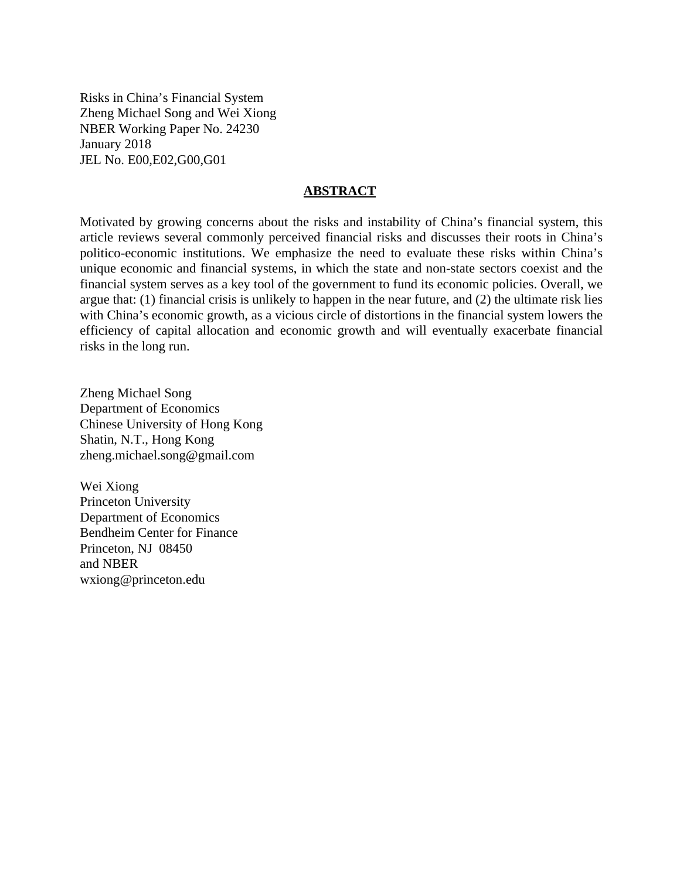Risks in China's Financial System Zheng Michael Song and Wei Xiong NBER Working Paper No. 24230 January 2018 JEL No. E00,E02,G00,G01

## **ABSTRACT**

Motivated by growing concerns about the risks and instability of China's financial system, this article reviews several commonly perceived financial risks and discusses their roots in China's politico-economic institutions. We emphasize the need to evaluate these risks within China's unique economic and financial systems, in which the state and non-state sectors coexist and the financial system serves as a key tool of the government to fund its economic policies. Overall, we argue that: (1) financial crisis is unlikely to happen in the near future, and (2) the ultimate risk lies with China's economic growth, as a vicious circle of distortions in the financial system lowers the efficiency of capital allocation and economic growth and will eventually exacerbate financial risks in the long run.

Zheng Michael Song Department of Economics Chinese University of Hong Kong Shatin, N.T., Hong Kong zheng.michael.song@gmail.com

Wei Xiong Princeton University Department of Economics Bendheim Center for Finance Princeton, NJ 08450 and NBER wxiong@princeton.edu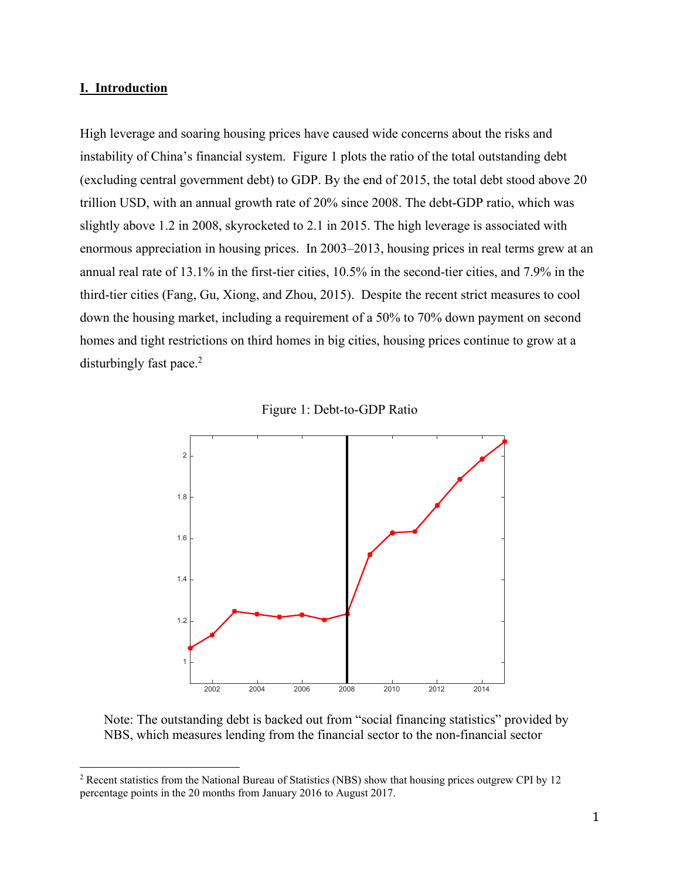## **I. Introduction**

1

High leverage and soaring housing prices have caused wide concerns about the risks and instability of China's financial system. Figure 1 plots the ratio of the total outstanding debt (excluding central government debt) to GDP. By the end of 2015, the total debt stood above 20 trillion USD, with an annual growth rate of 20% since 2008. The debt-GDP ratio, which was slightly above 1.2 in 2008, skyrocketed to 2.1 in 2015. The high leverage is associated with enormous appreciation in housing prices. In 2003–2013, housing prices in real terms grew at an annual real rate of 13.1% in the first-tier cities, 10.5% in the second-tier cities, and 7.9% in the third-tier cities (Fang, Gu, Xiong, and Zhou, 2015). Despite the recent strict measures to cool down the housing market, including a requirement of a 50% to 70% down payment on second homes and tight restrictions on third homes in big cities, housing prices continue to grow at a disturbingly fast pace.<sup>2</sup>





Note: The outstanding debt is backed out from "social financing statistics" provided by NBS, which measures lending from the financial sector to the non-financial sector

<sup>&</sup>lt;sup>2</sup> Recent statistics from the National Bureau of Statistics (NBS) show that housing prices outgrew CPI by 12 percentage points in the 20 months from January 2016 to August 2017.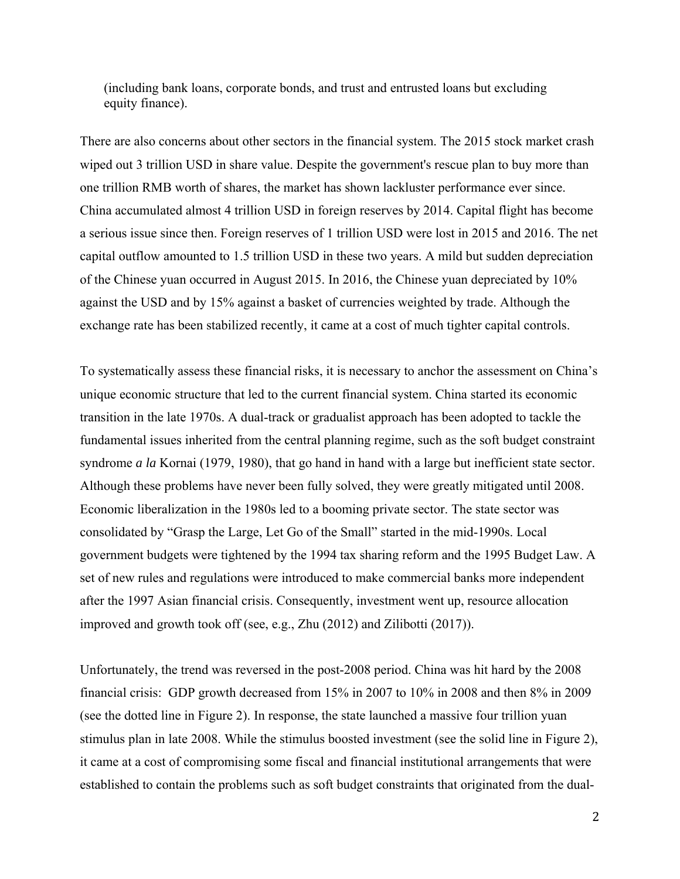(including bank loans, corporate bonds, and trust and entrusted loans but excluding equity finance).

There are also concerns about other sectors in the financial system. The 2015 stock market crash wiped out 3 trillion USD in share value. Despite the government's rescue plan to buy more than one trillion RMB worth of shares, the market has shown lackluster performance ever since. China accumulated almost 4 trillion USD in foreign reserves by 2014. Capital flight has become a serious issue since then. Foreign reserves of 1 trillion USD were lost in 2015 and 2016. The net capital outflow amounted to 1.5 trillion USD in these two years. A mild but sudden depreciation of the Chinese yuan occurred in August 2015. In 2016, the Chinese yuan depreciated by 10% against the USD and by 15% against a basket of currencies weighted by trade. Although the exchange rate has been stabilized recently, it came at a cost of much tighter capital controls.

To systematically assess these financial risks, it is necessary to anchor the assessment on China's unique economic structure that led to the current financial system. China started its economic transition in the late 1970s. A dual-track or gradualist approach has been adopted to tackle the fundamental issues inherited from the central planning regime, such as the soft budget constraint syndrome *a la* Kornai (1979, 1980), that go hand in hand with a large but inefficient state sector. Although these problems have never been fully solved, they were greatly mitigated until 2008. Economic liberalization in the 1980s led to a booming private sector. The state sector was consolidated by "Grasp the Large, Let Go of the Small" started in the mid-1990s. Local government budgets were tightened by the 1994 tax sharing reform and the 1995 Budget Law. A set of new rules and regulations were introduced to make commercial banks more independent after the 1997 Asian financial crisis. Consequently, investment went up, resource allocation improved and growth took off (see, e.g., Zhu (2012) and Zilibotti (2017)).

Unfortunately, the trend was reversed in the post-2008 period. China was hit hard by the 2008 financial crisis: GDP growth decreased from 15% in 2007 to 10% in 2008 and then 8% in 2009 (see the dotted line in Figure 2). In response, the state launched a massive four trillion yuan stimulus plan in late 2008. While the stimulus boosted investment (see the solid line in Figure 2), it came at a cost of compromising some fiscal and financial institutional arrangements that were established to contain the problems such as soft budget constraints that originated from the dual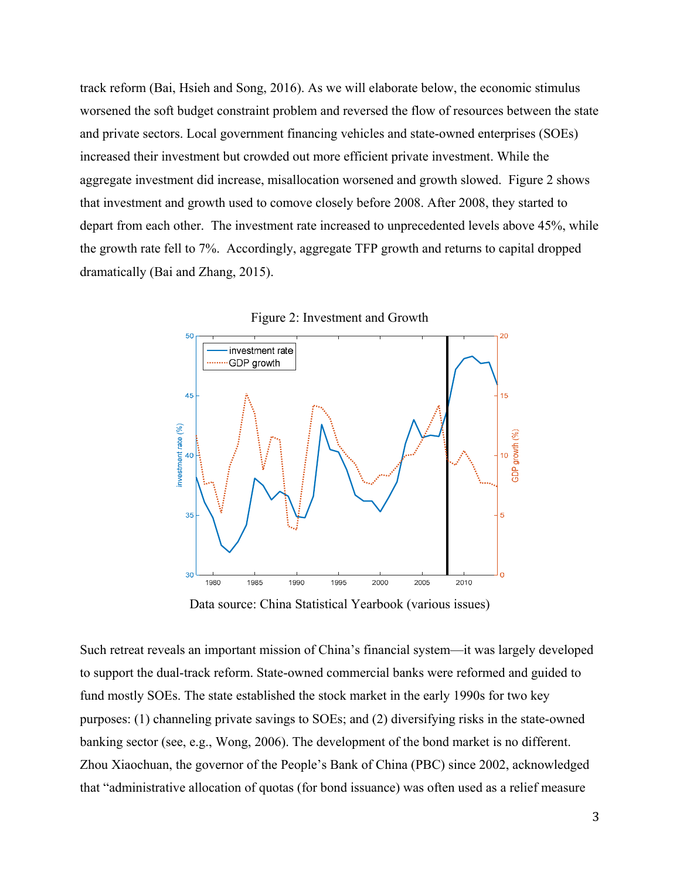track reform (Bai, Hsieh and Song, 2016). As we will elaborate below, the economic stimulus worsened the soft budget constraint problem and reversed the flow of resources between the state and private sectors. Local government financing vehicles and state-owned enterprises (SOEs) increased their investment but crowded out more efficient private investment. While the aggregate investment did increase, misallocation worsened and growth slowed. Figure 2 shows that investment and growth used to comove closely before 2008. After 2008, they started to depart from each other. The investment rate increased to unprecedented levels above 45%, while the growth rate fell to 7%. Accordingly, aggregate TFP growth and returns to capital dropped dramatically (Bai and Zhang, 2015).





Data source: China Statistical Yearbook (various issues)

Such retreat reveals an important mission of China's financial system—it was largely developed to support the dual-track reform. State-owned commercial banks were reformed and guided to fund mostly SOEs. The state established the stock market in the early 1990s for two key purposes: (1) channeling private savings to SOEs; and (2) diversifying risks in the state-owned banking sector (see, e.g., Wong, 2006). The development of the bond market is no different. Zhou Xiaochuan, the governor of the People's Bank of China (PBC) since 2002, acknowledged that "administrative allocation of quotas (for bond issuance) was often used as a relief measure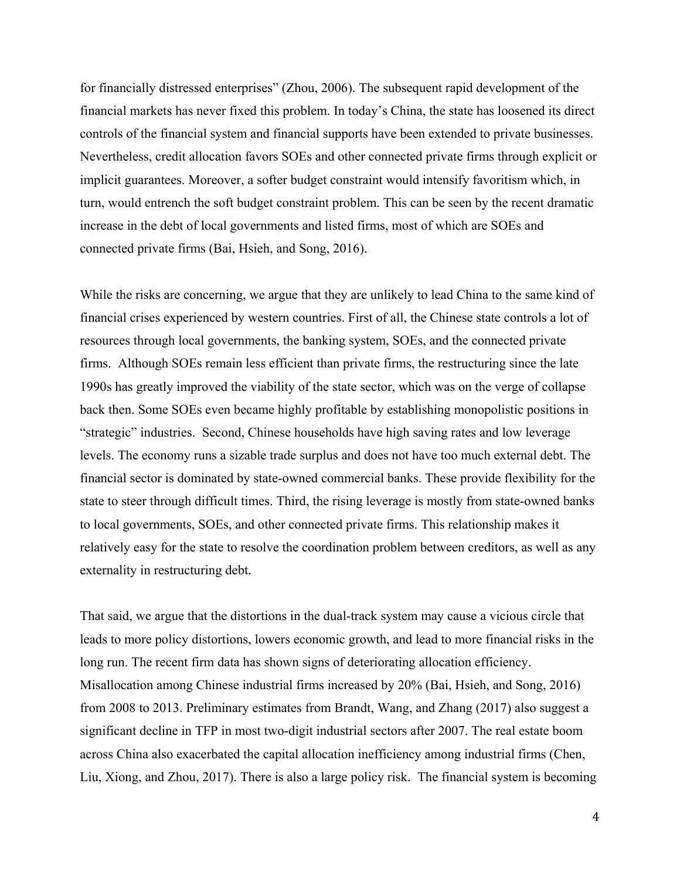for financially distressed enterprises" (Zhou, 2006). The subsequent rapid development of the financial markets has never fixed this problem. In today's China, the state has loosened its direct controls of the financial system and financial supports have been extended to private businesses. Nevertheless, credit allocation favors SOEs and other connected private firms through explicit or implicit guarantees. Moreover, a softer budget constraint would intensify favoritism which, in turn, would entrench the soft budget constraint problem. This can be seen by the recent dramatic increase in the debt of local governments and listed firms, most of which are SOEs and connected private firms (Bai, Hsieh, and Song, 2016).

While the risks are concerning, we argue that they are unlikely to lead China to the same kind of financial crises experienced by western countries. First of all, the Chinese state controls a lot of resources through local governments, the banking system, SOEs, and the connected private firms. Although SOEs remain less efficient than private firms, the restructuring since the late 1990s has greatly improved the viability of the state sector, which was on the verge of collapse back then. Some SOEs even became highly profitable by establishing monopolistic positions in "strategic" industries. Second, Chinese households have high saving rates and low leverage levels. The economy runs a sizable trade surplus and does not have too much external debt. The financial sector is dominated by state-owned commercial banks. These provide flexibility for the state to steer through difficult times. Third, the rising leverage is mostly from state-owned banks to local governments, SOEs, and other connected private firms. This relationship makes it relatively easy for the state to resolve the coordination problem between creditors, as well as any externality in restructuring debt.

That said, we argue that the distortions in the dual-track system may cause a vicious circle that leads to more policy distortions, lowers economic growth, and lead to more financial risks in the long run. The recent firm data has shown signs of deteriorating allocation efficiency. Misallocation among Chinese industrial firms increased by 20% (Bai, Hsieh, and Song, 2016) from 2008 to 2013. Preliminary estimates from Brandt, Wang, and Zhang (2017) also suggest a significant decline in TFP in most two-digit industrial sectors after 2007. The real estate boom across China also exacerbated the capital allocation inefficiency among industrial firms (Chen, Liu, Xiong, and Zhou, 2017). There is also a large policy risk. The financial system is becoming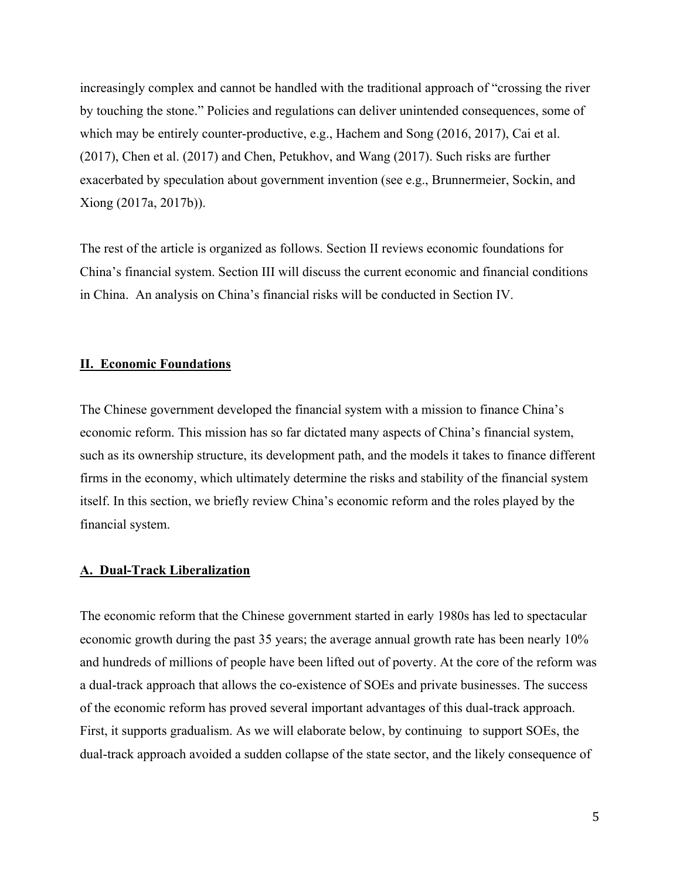increasingly complex and cannot be handled with the traditional approach of "crossing the river by touching the stone." Policies and regulations can deliver unintended consequences, some of which may be entirely counter-productive, e.g., Hachem and Song (2016, 2017), Cai et al. (2017), Chen et al. (2017) and Chen, Petukhov, and Wang (2017). Such risks are further exacerbated by speculation about government invention (see e.g., Brunnermeier, Sockin, and Xiong (2017a, 2017b)).

The rest of the article is organized as follows. Section II reviews economic foundations for China's financial system. Section III will discuss the current economic and financial conditions in China. An analysis on China's financial risks will be conducted in Section IV.

#### **II. Economic Foundations**

The Chinese government developed the financial system with a mission to finance China's economic reform. This mission has so far dictated many aspects of China's financial system, such as its ownership structure, its development path, and the models it takes to finance different firms in the economy, which ultimately determine the risks and stability of the financial system itself. In this section, we briefly review China's economic reform and the roles played by the financial system.

## **A. Dual-Track Liberalization**

The economic reform that the Chinese government started in early 1980s has led to spectacular economic growth during the past 35 years; the average annual growth rate has been nearly 10% and hundreds of millions of people have been lifted out of poverty. At the core of the reform was a dual-track approach that allows the co-existence of SOEs and private businesses. The success of the economic reform has proved several important advantages of this dual-track approach. First, it supports gradualism. As we will elaborate below, by continuing to support SOEs, the dual-track approach avoided a sudden collapse of the state sector, and the likely consequence of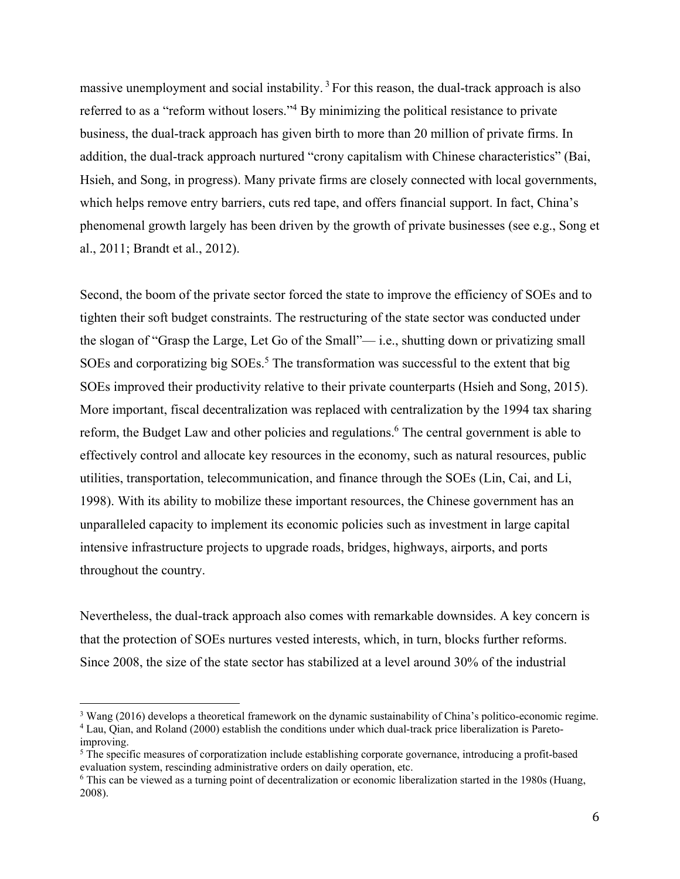massive unemployment and social instability.<sup>3</sup> For this reason, the dual-track approach is also referred to as a "reform without losers."<sup>4</sup> By minimizing the political resistance to private business, the dual-track approach has given birth to more than 20 million of private firms. In addition, the dual-track approach nurtured "crony capitalism with Chinese characteristics" (Bai, Hsieh, and Song, in progress). Many private firms are closely connected with local governments, which helps remove entry barriers, cuts red tape, and offers financial support. In fact, China's phenomenal growth largely has been driven by the growth of private businesses (see e.g., Song et al., 2011; Brandt et al., 2012).

Second, the boom of the private sector forced the state to improve the efficiency of SOEs and to tighten their soft budget constraints. The restructuring of the state sector was conducted under the slogan of "Grasp the Large, Let Go of the Small"— i.e., shutting down or privatizing small SOEs and corporatizing big  $SOEs$ .<sup>5</sup> The transformation was successful to the extent that big SOEs improved their productivity relative to their private counterparts (Hsieh and Song, 2015). More important, fiscal decentralization was replaced with centralization by the 1994 tax sharing reform, the Budget Law and other policies and regulations. <sup>6</sup> The central government is able to effectively control and allocate key resources in the economy, such as natural resources, public utilities, transportation, telecommunication, and finance through the SOEs (Lin, Cai, and Li, 1998). With its ability to mobilize these important resources, the Chinese government has an unparalleled capacity to implement its economic policies such as investment in large capital intensive infrastructure projects to upgrade roads, bridges, highways, airports, and ports throughout the country.

Nevertheless, the dual-track approach also comes with remarkable downsides. A key concern is that the protection of SOEs nurtures vested interests, which, in turn, blocks further reforms. Since 2008, the size of the state sector has stabilized at a level around 30% of the industrial

<sup>&</sup>lt;sup>3</sup> Wang (2016) develops a theoretical framework on the dynamic sustainability of China's politico-economic regime.<br><sup>4</sup> Lau, Oian, and Roland (2000) establish the conditions under which dual track price liberalization is Lau, Qian, and Roland (2000) establish the conditions under which dual-track price liberalization is Paretoimproving.

<sup>&</sup>lt;sup>5</sup> The specific measures of corporatization include establishing corporate governance, introducing a profit-based evaluation system, rescinding administrative orders on daily operation, etc.

<sup>6</sup> This can be viewed as a turning point of decentralization or economic liberalization started in the 1980s (Huang, 2008).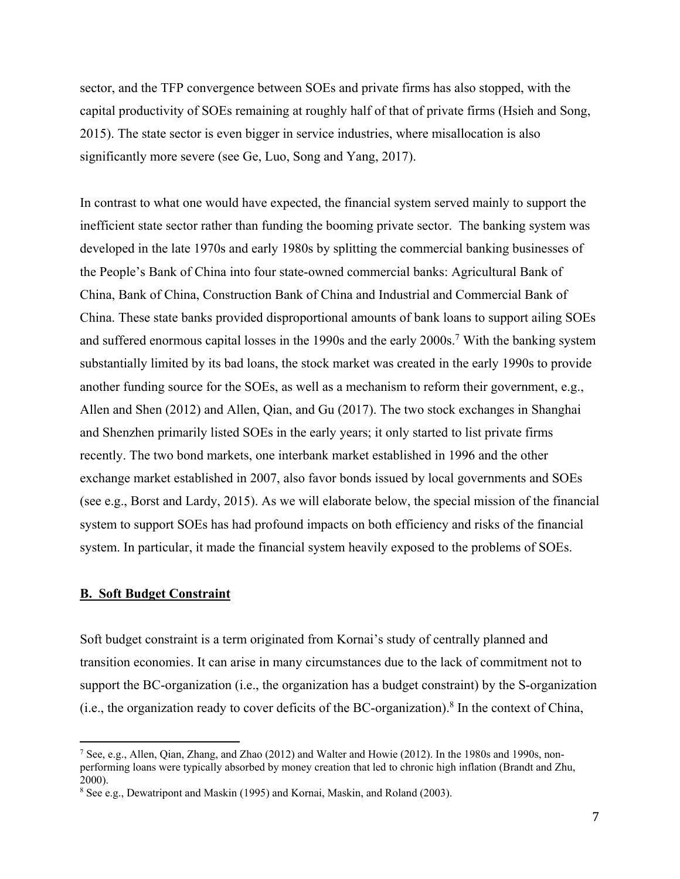sector, and the TFP convergence between SOEs and private firms has also stopped, with the capital productivity of SOEs remaining at roughly half of that of private firms (Hsieh and Song, 2015). The state sector is even bigger in service industries, where misallocation is also significantly more severe (see Ge, Luo, Song and Yang, 2017).

In contrast to what one would have expected, the financial system served mainly to support the inefficient state sector rather than funding the booming private sector. The banking system was developed in the late 1970s and early 1980s by splitting the commercial banking businesses of the People's Bank of China into four state-owned commercial banks: Agricultural Bank of China, Bank of China, Construction Bank of China and Industrial and Commercial Bank of China. These state banks provided disproportional amounts of bank loans to support ailing SOEs and suffered enormous capital losses in the 1990s and the early 2000s.<sup>7</sup> With the banking system substantially limited by its bad loans, the stock market was created in the early 1990s to provide another funding source for the SOEs, as well as a mechanism to reform their government, e.g., Allen and Shen (2012) and Allen, Qian, and Gu (2017). The two stock exchanges in Shanghai and Shenzhen primarily listed SOEs in the early years; it only started to list private firms recently. The two bond markets, one interbank market established in 1996 and the other exchange market established in 2007, also favor bonds issued by local governments and SOEs (see e.g., Borst and Lardy, 2015). As we will elaborate below, the special mission of the financial system to support SOEs has had profound impacts on both efficiency and risks of the financial system. In particular, it made the financial system heavily exposed to the problems of SOEs.

## **B. Soft Budget Constraint**

 $\overline{a}$ 

Soft budget constraint is a term originated from Kornai's study of centrally planned and transition economies. It can arise in many circumstances due to the lack of commitment not to support the BC-organization (i.e., the organization has a budget constraint) by the S-organization (i.e., the organization ready to cover deficits of the BC-organization).<sup>8</sup> In the context of China,

<sup>&</sup>lt;sup>7</sup> See, e.g., Allen, Qian, Zhang, and Zhao (2012) and Walter and Howie (2012). In the 1980s and 1990s, nonperforming loans were typically absorbed by money creation that led to chronic high inflation (Brandt and Zhu, 2000).

<sup>&</sup>lt;sup>8</sup> See e.g., Dewatripont and Maskin (1995) and Kornai, Maskin, and Roland (2003).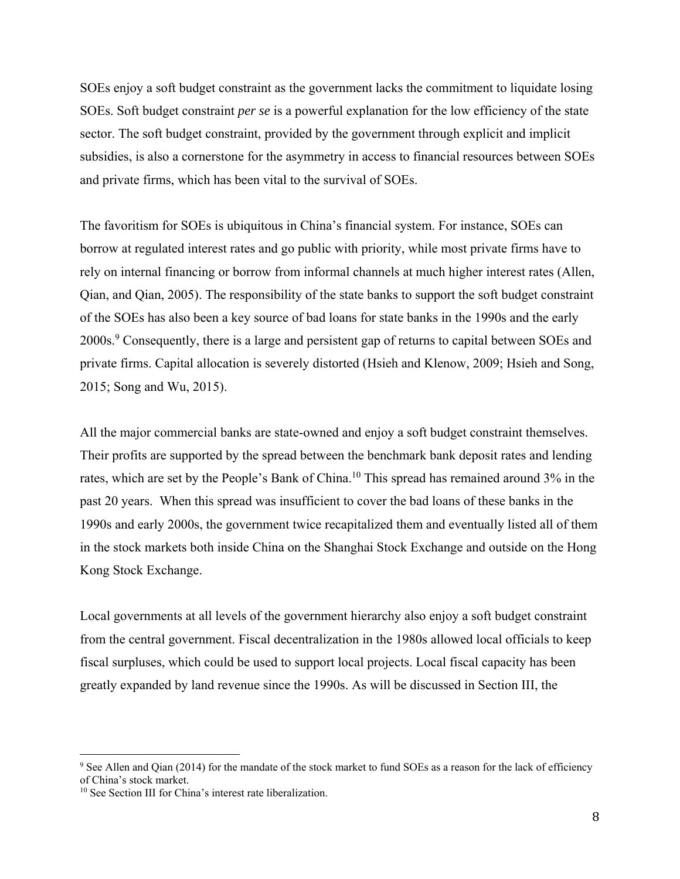SOEs enjoy a soft budget constraint as the government lacks the commitment to liquidate losing SOEs. Soft budget constraint *per se* is a powerful explanation for the low efficiency of the state sector. The soft budget constraint, provided by the government through explicit and implicit subsidies, is also a cornerstone for the asymmetry in access to financial resources between SOEs and private firms, which has been vital to the survival of SOEs.

The favoritism for SOEs is ubiquitous in China's financial system. For instance, SOEs can borrow at regulated interest rates and go public with priority, while most private firms have to rely on internal financing or borrow from informal channels at much higher interest rates (Allen, Qian, and Qian, 2005). The responsibility of the state banks to support the soft budget constraint of the SOEs has also been a key source of bad loans for state banks in the 1990s and the early 2000s.<sup>9</sup> Consequently, there is a large and persistent gap of returns to capital between SOEs and private firms. Capital allocation is severely distorted (Hsieh and Klenow, 2009; Hsieh and Song, 2015; Song and Wu, 2015).

All the major commercial banks are state-owned and enjoy a soft budget constraint themselves. Their profits are supported by the spread between the benchmark bank deposit rates and lending rates, which are set by the People's Bank of China.<sup>10</sup> This spread has remained around 3% in the past 20 years. When this spread was insufficient to cover the bad loans of these banks in the 1990s and early 2000s, the government twice recapitalized them and eventually listed all of them in the stock markets both inside China on the Shanghai Stock Exchange and outside on the Hong Kong Stock Exchange.

Local governments at all levels of the government hierarchy also enjoy a soft budget constraint from the central government. Fiscal decentralization in the 1980s allowed local officials to keep fiscal surpluses, which could be used to support local projects. Local fiscal capacity has been greatly expanded by land revenue since the 1990s. As will be discussed in Section III, the

<u>.</u>

<sup>&</sup>lt;sup>9</sup> See Allen and Qian (2014) for the mandate of the stock market to fund SOEs as a reason for the lack of efficiency of China's stock market.

<sup>&</sup>lt;sup>10</sup> See Section III for China's interest rate liberalization.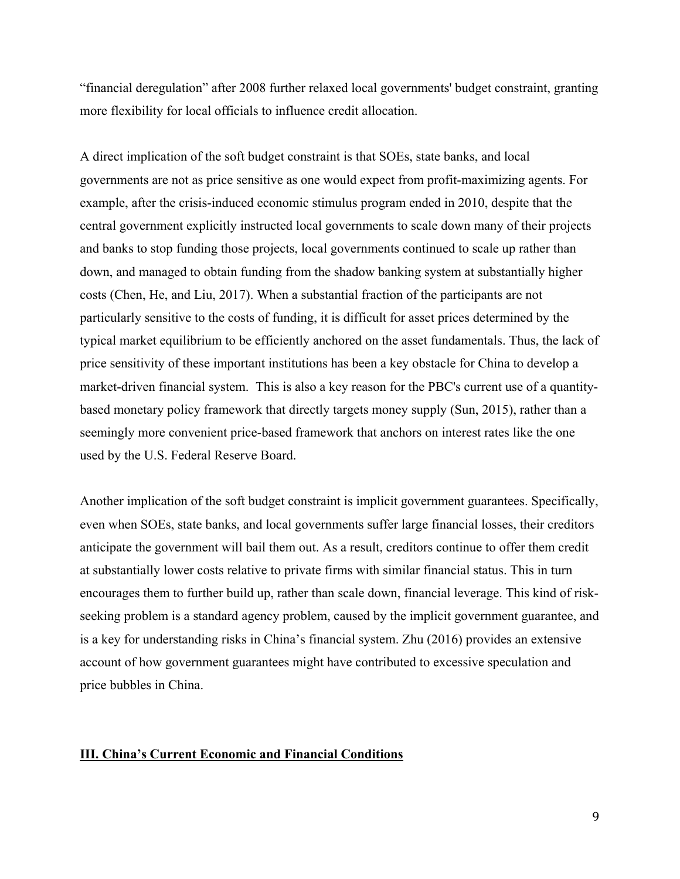"financial deregulation" after 2008 further relaxed local governments' budget constraint, granting more flexibility for local officials to influence credit allocation.

A direct implication of the soft budget constraint is that SOEs, state banks, and local governments are not as price sensitive as one would expect from profit-maximizing agents. For example, after the crisis-induced economic stimulus program ended in 2010, despite that the central government explicitly instructed local governments to scale down many of their projects and banks to stop funding those projects, local governments continued to scale up rather than down, and managed to obtain funding from the shadow banking system at substantially higher costs (Chen, He, and Liu, 2017). When a substantial fraction of the participants are not particularly sensitive to the costs of funding, it is difficult for asset prices determined by the typical market equilibrium to be efficiently anchored on the asset fundamentals. Thus, the lack of price sensitivity of these important institutions has been a key obstacle for China to develop a market-driven financial system. This is also a key reason for the PBC's current use of a quantitybased monetary policy framework that directly targets money supply (Sun, 2015), rather than a seemingly more convenient price-based framework that anchors on interest rates like the one used by the U.S. Federal Reserve Board.

Another implication of the soft budget constraint is implicit government guarantees. Specifically, even when SOEs, state banks, and local governments suffer large financial losses, their creditors anticipate the government will bail them out. As a result, creditors continue to offer them credit at substantially lower costs relative to private firms with similar financial status. This in turn encourages them to further build up, rather than scale down, financial leverage. This kind of riskseeking problem is a standard agency problem, caused by the implicit government guarantee, and is a key for understanding risks in China's financial system. Zhu (2016) provides an extensive account of how government guarantees might have contributed to excessive speculation and price bubbles in China.

## **III. China's Current Economic and Financial Conditions**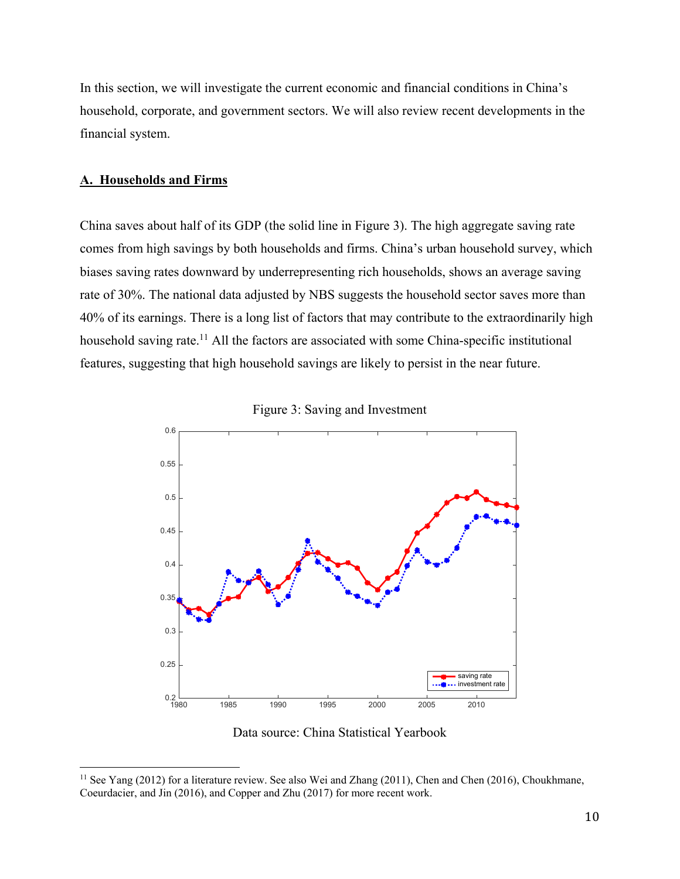In this section, we will investigate the current economic and financial conditions in China's household, corporate, and government sectors. We will also review recent developments in the financial system.

## **A. Households and Firms**

 $\overline{a}$ 

China saves about half of its GDP (the solid line in Figure 3). The high aggregate saving rate comes from high savings by both households and firms. China's urban household survey, which biases saving rates downward by underrepresenting rich households, shows an average saving rate of 30%. The national data adjusted by NBS suggests the household sector saves more than 40% of its earnings. There is a long list of factors that may contribute to the extraordinarily high household saving rate.<sup>11</sup> All the factors are associated with some China-specific institutional features, suggesting that high household savings are likely to persist in the near future.





Data source: China Statistical Yearbook

<sup>&</sup>lt;sup>11</sup> See Yang (2012) for a literature review. See also Wei and Zhang (2011), Chen and Chen (2016), Choukhmane, Coeurdacier, and Jin (2016), and Copper and Zhu (2017) for more recent work.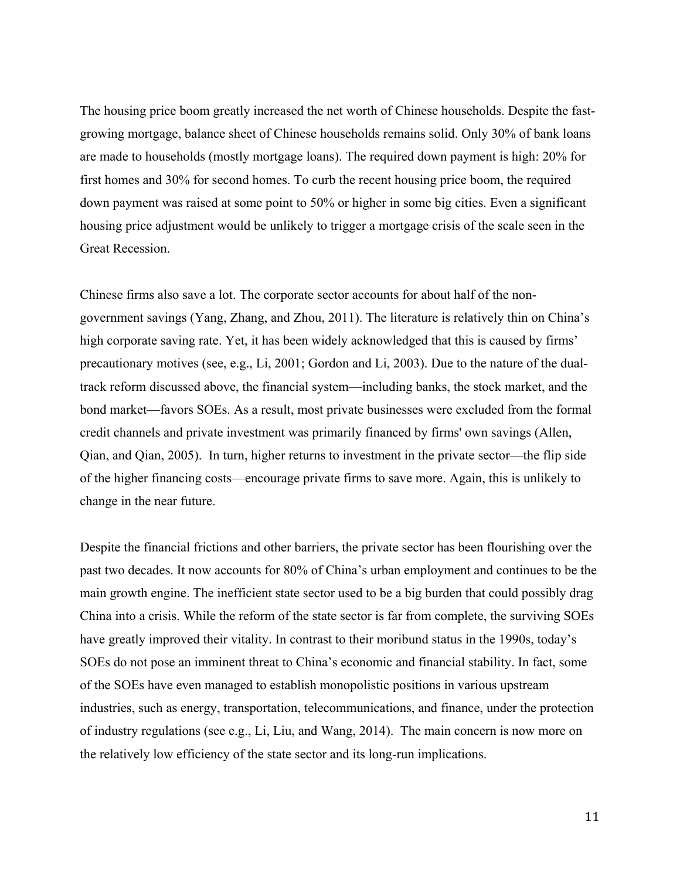The housing price boom greatly increased the net worth of Chinese households. Despite the fastgrowing mortgage, balance sheet of Chinese households remains solid. Only 30% of bank loans are made to households (mostly mortgage loans). The required down payment is high: 20% for first homes and 30% for second homes. To curb the recent housing price boom, the required down payment was raised at some point to 50% or higher in some big cities. Even a significant housing price adjustment would be unlikely to trigger a mortgage crisis of the scale seen in the Great Recession.

Chinese firms also save a lot. The corporate sector accounts for about half of the nongovernment savings (Yang, Zhang, and Zhou, 2011). The literature is relatively thin on China's high corporate saving rate. Yet, it has been widely acknowledged that this is caused by firms' precautionary motives (see, e.g., Li, 2001; Gordon and Li, 2003). Due to the nature of the dualtrack reform discussed above, the financial system—including banks, the stock market, and the bond market—favors SOEs. As a result, most private businesses were excluded from the formal credit channels and private investment was primarily financed by firms' own savings (Allen, Qian, and Qian, 2005). In turn, higher returns to investment in the private sector—the flip side of the higher financing costs—encourage private firms to save more. Again, this is unlikely to change in the near future.

Despite the financial frictions and other barriers, the private sector has been flourishing over the past two decades. It now accounts for 80% of China's urban employment and continues to be the main growth engine. The inefficient state sector used to be a big burden that could possibly drag China into a crisis. While the reform of the state sector is far from complete, the surviving SOEs have greatly improved their vitality. In contrast to their moribund status in the 1990s, today's SOEs do not pose an imminent threat to China's economic and financial stability. In fact, some of the SOEs have even managed to establish monopolistic positions in various upstream industries, such as energy, transportation, telecommunications, and finance, under the protection of industry regulations (see e.g., Li, Liu, and Wang, 2014). The main concern is now more on the relatively low efficiency of the state sector and its long-run implications.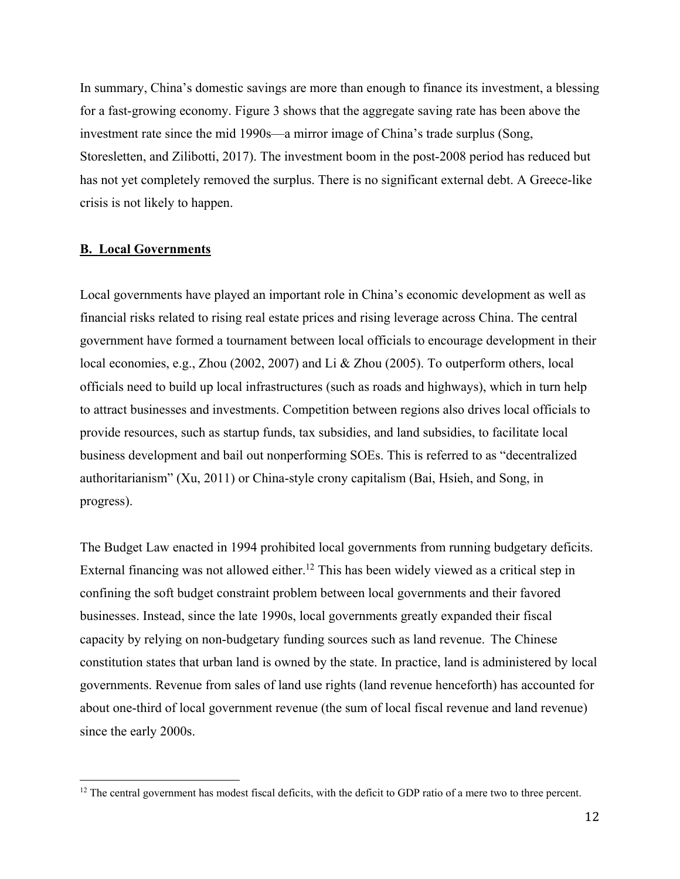In summary, China's domestic savings are more than enough to finance its investment, a blessing for a fast-growing economy. Figure 3 shows that the aggregate saving rate has been above the investment rate since the mid 1990s—a mirror image of China's trade surplus (Song, Storesletten, and Zilibotti, 2017). The investment boom in the post-2008 period has reduced but has not yet completely removed the surplus. There is no significant external debt. A Greece-like crisis is not likely to happen.

#### **B. Local Governments**

 $\overline{a}$ 

Local governments have played an important role in China's economic development as well as financial risks related to rising real estate prices and rising leverage across China. The central government have formed a tournament between local officials to encourage development in their local economies, e.g., Zhou (2002, 2007) and Li & Zhou (2005). To outperform others, local officials need to build up local infrastructures (such as roads and highways), which in turn help to attract businesses and investments. Competition between regions also drives local officials to provide resources, such as startup funds, tax subsidies, and land subsidies, to facilitate local business development and bail out nonperforming SOEs. This is referred to as "decentralized authoritarianism" (Xu, 2011) or China-style crony capitalism (Bai, Hsieh, and Song, in progress).

The Budget Law enacted in 1994 prohibited local governments from running budgetary deficits. External financing was not allowed either.<sup>12</sup> This has been widely viewed as a critical step in confining the soft budget constraint problem between local governments and their favored businesses. Instead, since the late 1990s, local governments greatly expanded their fiscal capacity by relying on non-budgetary funding sources such as land revenue. The Chinese constitution states that urban land is owned by the state. In practice, land is administered by local governments. Revenue from sales of land use rights (land revenue henceforth) has accounted for about one-third of local government revenue (the sum of local fiscal revenue and land revenue) since the early 2000s.

<sup>&</sup>lt;sup>12</sup> The central government has modest fiscal deficits, with the deficit to GDP ratio of a mere two to three percent.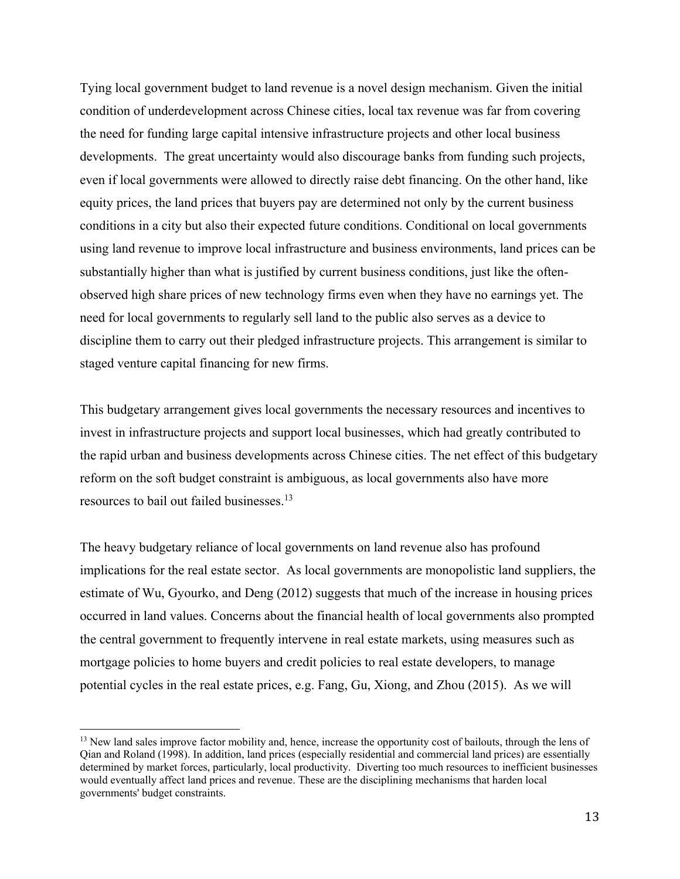Tying local government budget to land revenue is a novel design mechanism. Given the initial condition of underdevelopment across Chinese cities, local tax revenue was far from covering the need for funding large capital intensive infrastructure projects and other local business developments. The great uncertainty would also discourage banks from funding such projects, even if local governments were allowed to directly raise debt financing. On the other hand, like equity prices, the land prices that buyers pay are determined not only by the current business conditions in a city but also their expected future conditions. Conditional on local governments using land revenue to improve local infrastructure and business environments, land prices can be substantially higher than what is justified by current business conditions, just like the oftenobserved high share prices of new technology firms even when they have no earnings yet. The need for local governments to regularly sell land to the public also serves as a device to discipline them to carry out their pledged infrastructure projects. This arrangement is similar to staged venture capital financing for new firms.

This budgetary arrangement gives local governments the necessary resources and incentives to invest in infrastructure projects and support local businesses, which had greatly contributed to the rapid urban and business developments across Chinese cities. The net effect of this budgetary reform on the soft budget constraint is ambiguous, as local governments also have more resources to bail out failed businesses.<sup>13</sup>

The heavy budgetary reliance of local governments on land revenue also has profound implications for the real estate sector. As local governments are monopolistic land suppliers, the estimate of Wu, Gyourko, and Deng (2012) suggests that much of the increase in housing prices occurred in land values. Concerns about the financial health of local governments also prompted the central government to frequently intervene in real estate markets, using measures such as mortgage policies to home buyers and credit policies to real estate developers, to manage potential cycles in the real estate prices, e.g. Fang, Gu, Xiong, and Zhou (2015). As we will

<sup>&</sup>lt;sup>13</sup> New land sales improve factor mobility and, hence, increase the opportunity cost of bailouts, through the lens of Qian and Roland (1998). In addition, land prices (especially residential and commercial land prices) are essentially determined by market forces, particularly, local productivity. Diverting too much resources to inefficient businesses would eventually affect land prices and revenue. These are the disciplining mechanisms that harden local governments' budget constraints.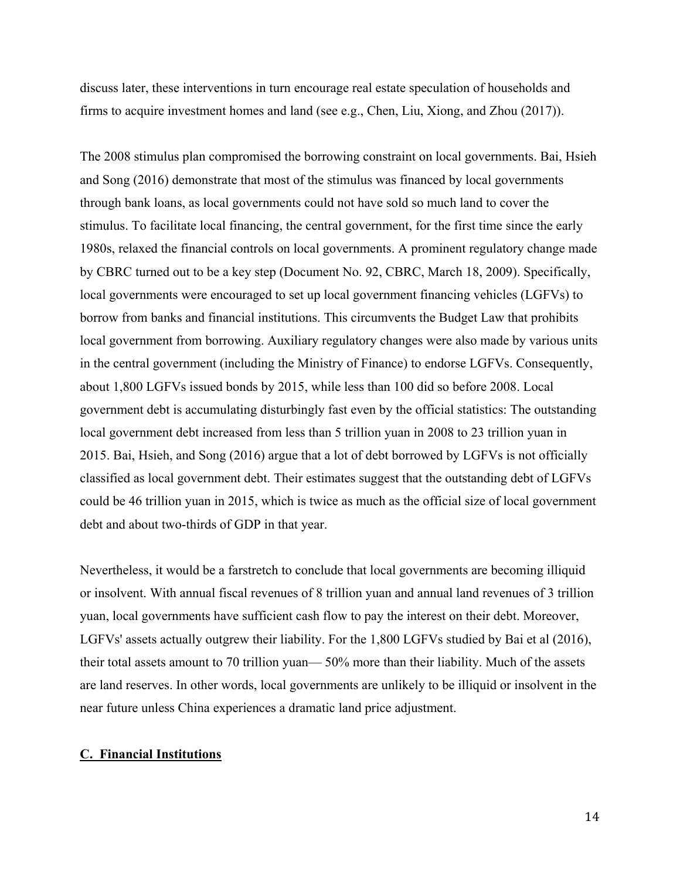discuss later, these interventions in turn encourage real estate speculation of households and firms to acquire investment homes and land (see e.g., Chen, Liu, Xiong, and Zhou (2017)).

The 2008 stimulus plan compromised the borrowing constraint on local governments. Bai, Hsieh and Song (2016) demonstrate that most of the stimulus was financed by local governments through bank loans, as local governments could not have sold so much land to cover the stimulus. To facilitate local financing, the central government, for the first time since the early 1980s, relaxed the financial controls on local governments. A prominent regulatory change made by CBRC turned out to be a key step (Document No. 92, CBRC, March 18, 2009). Specifically, local governments were encouraged to set up local government financing vehicles (LGFVs) to borrow from banks and financial institutions. This circumvents the Budget Law that prohibits local government from borrowing. Auxiliary regulatory changes were also made by various units in the central government (including the Ministry of Finance) to endorse LGFVs. Consequently, about 1,800 LGFVs issued bonds by 2015, while less than 100 did so before 2008. Local government debt is accumulating disturbingly fast even by the official statistics: The outstanding local government debt increased from less than 5 trillion yuan in 2008 to 23 trillion yuan in 2015. Bai, Hsieh, and Song (2016) argue that a lot of debt borrowed by LGFVs is not officially classified as local government debt. Their estimates suggest that the outstanding debt of LGFVs could be 46 trillion yuan in 2015, which is twice as much as the official size of local government debt and about two-thirds of GDP in that year.

Nevertheless, it would be a farstretch to conclude that local governments are becoming illiquid or insolvent. With annual fiscal revenues of 8 trillion yuan and annual land revenues of 3 trillion yuan, local governments have sufficient cash flow to pay the interest on their debt. Moreover, LGFVs' assets actually outgrew their liability. For the 1,800 LGFVs studied by Bai et al (2016), their total assets amount to 70 trillion yuan— 50% more than their liability. Much of the assets are land reserves. In other words, local governments are unlikely to be illiquid or insolvent in the near future unless China experiences a dramatic land price adjustment.

## **C. Financial Institutions**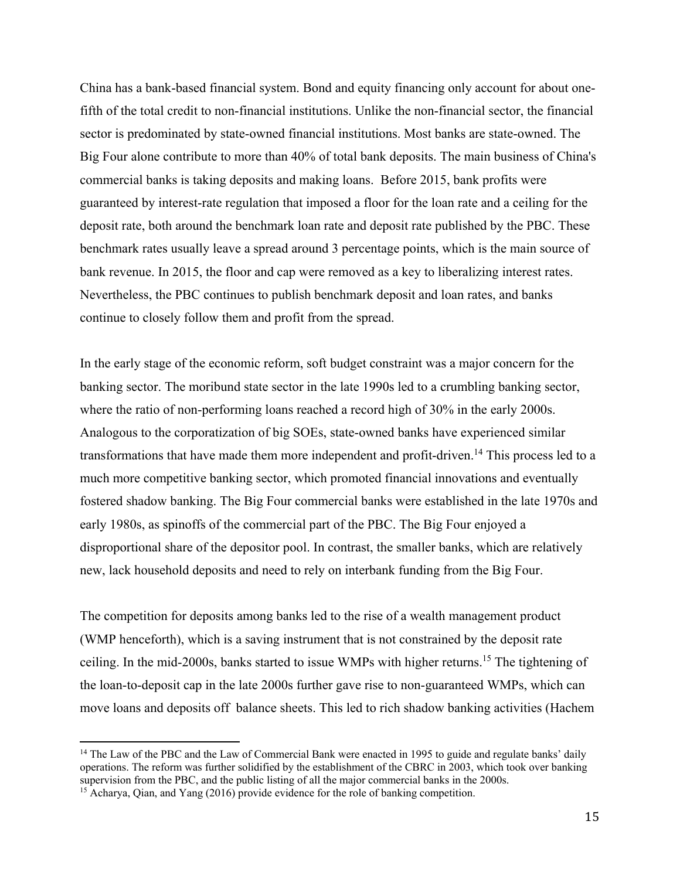China has a bank-based financial system. Bond and equity financing only account for about onefifth of the total credit to non-financial institutions. Unlike the non-financial sector, the financial sector is predominated by state-owned financial institutions. Most banks are state-owned. The Big Four alone contribute to more than 40% of total bank deposits. The main business of China's commercial banks is taking deposits and making loans. Before 2015, bank profits were guaranteed by interest-rate regulation that imposed a floor for the loan rate and a ceiling for the deposit rate, both around the benchmark loan rate and deposit rate published by the PBC. These benchmark rates usually leave a spread around 3 percentage points, which is the main source of bank revenue. In 2015, the floor and cap were removed as a key to liberalizing interest rates. Nevertheless, the PBC continues to publish benchmark deposit and loan rates, and banks continue to closely follow them and profit from the spread.

In the early stage of the economic reform, soft budget constraint was a major concern for the banking sector. The moribund state sector in the late 1990s led to a crumbling banking sector, where the ratio of non-performing loans reached a record high of 30% in the early 2000s. Analogous to the corporatization of big SOEs, state-owned banks have experienced similar transformations that have made them more independent and profit-driven.<sup>14</sup> This process led to a much more competitive banking sector, which promoted financial innovations and eventually fostered shadow banking. The Big Four commercial banks were established in the late 1970s and early 1980s, as spinoffs of the commercial part of the PBC. The Big Four enjoyed a disproportional share of the depositor pool. In contrast, the smaller banks, which are relatively new, lack household deposits and need to rely on interbank funding from the Big Four.

The competition for deposits among banks led to the rise of a wealth management product (WMP henceforth), which is a saving instrument that is not constrained by the deposit rate ceiling. In the mid-2000s, banks started to issue WMPs with higher returns.15 The tightening of the loan-to-deposit cap in the late 2000s further gave rise to non-guaranteed WMPs, which can move loans and deposits off balance sheets. This led to rich shadow banking activities (Hachem

<sup>&</sup>lt;sup>14</sup> The Law of the PBC and the Law of Commercial Bank were enacted in 1995 to guide and regulate banks' daily operations. The reform was further solidified by the establishment of the CBRC in 2003, which took over banking supervision from the PBC, and the public listing of all the major commercial banks in the 2000s.

<sup>&</sup>lt;sup>15</sup> Acharya, Qian, and Yang (2016) provide evidence for the role of banking competition.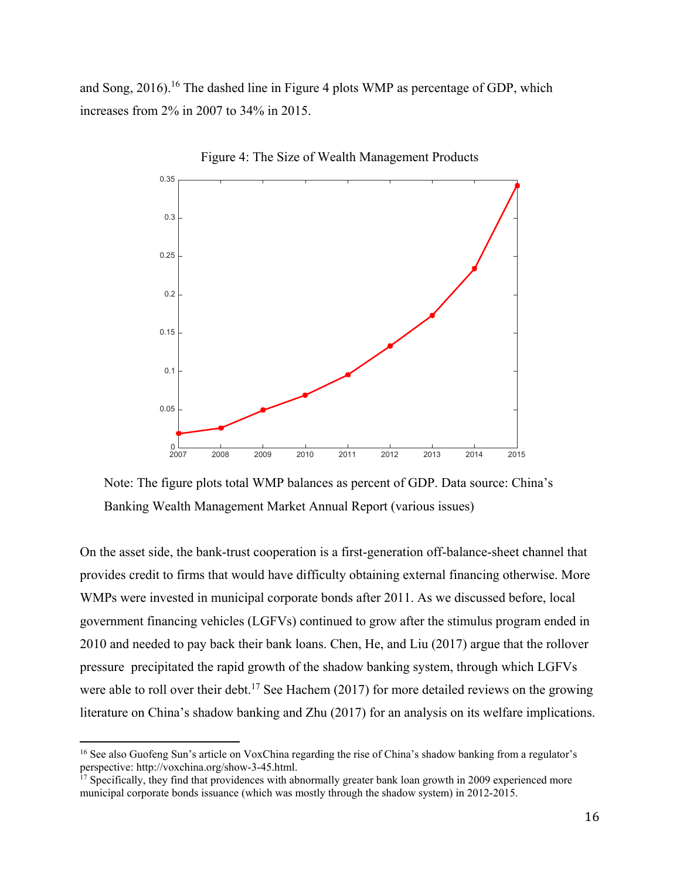and Song,  $2016$ .<sup>16</sup> The dashed line in Figure 4 plots WMP as percentage of GDP, which increases from 2% in 2007 to 34% in 2015.





Note: The figure plots total WMP balances as percent of GDP. Data source: China's Banking Wealth Management Market Annual Report (various issues)

On the asset side, the bank-trust cooperation is a first-generation off-balance-sheet channel that provides credit to firms that would have difficulty obtaining external financing otherwise. More WMPs were invested in municipal corporate bonds after 2011. As we discussed before, local government financing vehicles (LGFVs) continued to grow after the stimulus program ended in 2010 and needed to pay back their bank loans. Chen, He, and Liu (2017) argue that the rollover pressure precipitated the rapid growth of the shadow banking system, through which LGFVs were able to roll over their debt.<sup>17</sup> See Hachem (2017) for more detailed reviews on the growing literature on China's shadow banking and Zhu (2017) for an analysis on its welfare implications.

<sup>16</sup> See also Guofeng Sun's article on VoxChina regarding the rise of China's shadow banking from a regulator's perspective: http://voxchina.org/show-3-45.html.

<sup>&</sup>lt;sup>17</sup> Specifically, they find that providences with abnormally greater bank loan growth in 2009 experienced more municipal corporate bonds issuance (which was mostly through the shadow system) in 2012-2015.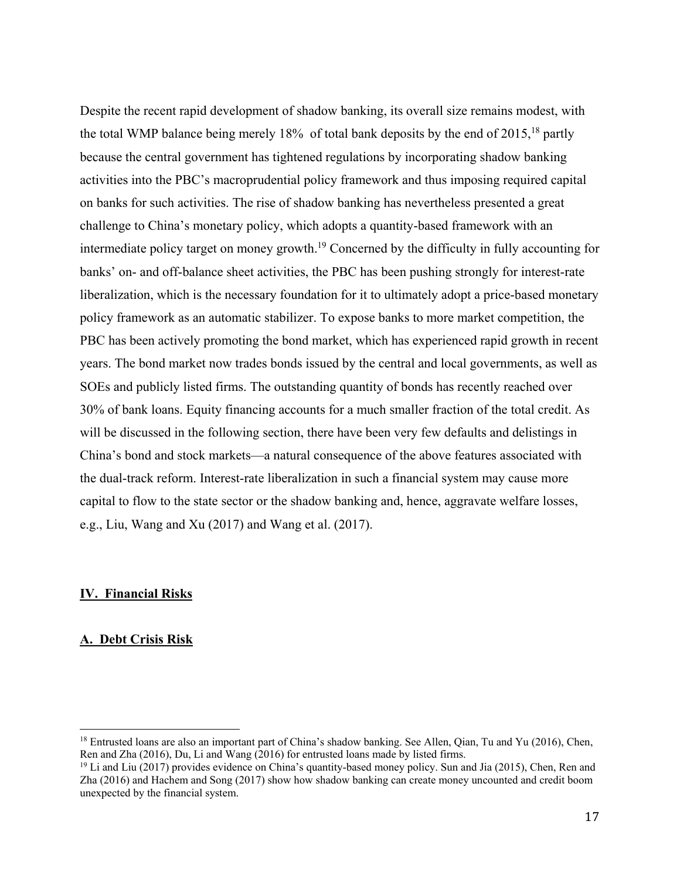Despite the recent rapid development of shadow banking, its overall size remains modest, with the total WMP balance being merely 18% of total bank deposits by the end of 2015, <sup>18</sup> partly because the central government has tightened regulations by incorporating shadow banking activities into the PBC's macroprudential policy framework and thus imposing required capital on banks for such activities. The rise of shadow banking has nevertheless presented a great challenge to China's monetary policy, which adopts a quantity-based framework with an intermediate policy target on money growth.19 Concerned by the difficulty in fully accounting for banks' on- and off-balance sheet activities, the PBC has been pushing strongly for interest-rate liberalization, which is the necessary foundation for it to ultimately adopt a price-based monetary policy framework as an automatic stabilizer. To expose banks to more market competition, the PBC has been actively promoting the bond market, which has experienced rapid growth in recent years. The bond market now trades bonds issued by the central and local governments, as well as SOEs and publicly listed firms. The outstanding quantity of bonds has recently reached over 30% of bank loans. Equity financing accounts for a much smaller fraction of the total credit. As will be discussed in the following section, there have been very few defaults and delistings in China's bond and stock markets—a natural consequence of the above features associated with the dual-track reform. Interest-rate liberalization in such a financial system may cause more capital to flow to the state sector or the shadow banking and, hence, aggravate welfare losses, e.g., Liu, Wang and Xu (2017) and Wang et al. (2017).

## **IV. Financial Risks**

## **A. Debt Crisis Risk**

<sup>&</sup>lt;sup>18</sup> Entrusted loans are also an important part of China's shadow banking. See Allen, Qian, Tu and Yu (2016), Chen, Ren and Zha (2016), Du, Li and Wang (2016) for entrusted loans made by listed firms.

 $19$  Li and Liu (2017) provides evidence on China's quantity-based money policy. Sun and Jia (2015), Chen, Ren and Zha (2016) and Hachem and Song (2017) show how shadow banking can create money uncounted and credit boom unexpected by the financial system.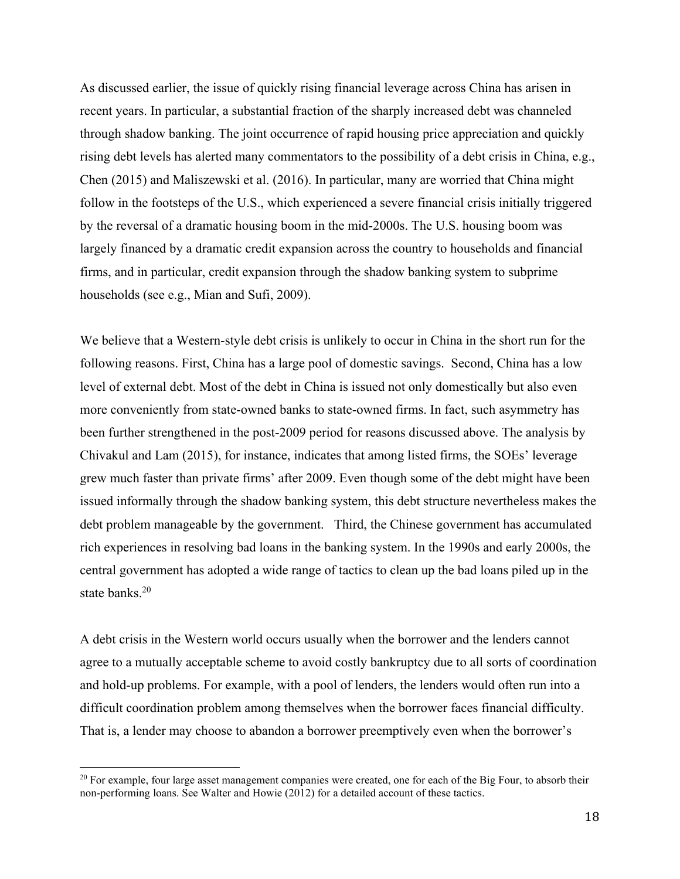As discussed earlier, the issue of quickly rising financial leverage across China has arisen in recent years. In particular, a substantial fraction of the sharply increased debt was channeled through shadow banking. The joint occurrence of rapid housing price appreciation and quickly rising debt levels has alerted many commentators to the possibility of a debt crisis in China, e.g., Chen (2015) and Maliszewski et al. (2016). In particular, many are worried that China might follow in the footsteps of the U.S., which experienced a severe financial crisis initially triggered by the reversal of a dramatic housing boom in the mid-2000s. The U.S. housing boom was largely financed by a dramatic credit expansion across the country to households and financial firms, and in particular, credit expansion through the shadow banking system to subprime households (see e.g., Mian and Sufi, 2009).

We believe that a Western-style debt crisis is unlikely to occur in China in the short run for the following reasons. First, China has a large pool of domestic savings. Second, China has a low level of external debt. Most of the debt in China is issued not only domestically but also even more conveniently from state-owned banks to state-owned firms. In fact, such asymmetry has been further strengthened in the post-2009 period for reasons discussed above. The analysis by Chivakul and Lam (2015), for instance, indicates that among listed firms, the SOEs' leverage grew much faster than private firms' after 2009. Even though some of the debt might have been issued informally through the shadow banking system, this debt structure nevertheless makes the debt problem manageable by the government. Third, the Chinese government has accumulated rich experiences in resolving bad loans in the banking system. In the 1990s and early 2000s, the central government has adopted a wide range of tactics to clean up the bad loans piled up in the state banks.<sup>20</sup>

A debt crisis in the Western world occurs usually when the borrower and the lenders cannot agree to a mutually acceptable scheme to avoid costly bankruptcy due to all sorts of coordination and hold-up problems. For example, with a pool of lenders, the lenders would often run into a difficult coordination problem among themselves when the borrower faces financial difficulty. That is, a lender may choose to abandon a borrower preemptively even when the borrower's

<sup>&</sup>lt;sup>20</sup> For example, four large asset management companies were created, one for each of the Big Four, to absorb their non-performing loans. See Walter and Howie (2012) for a detailed account of these tactics.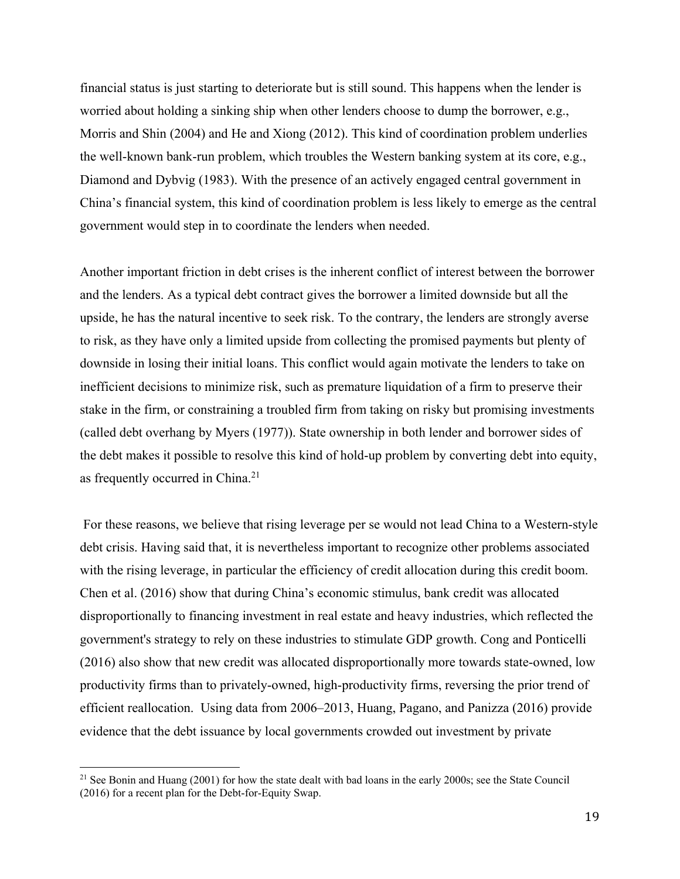financial status is just starting to deteriorate but is still sound. This happens when the lender is worried about holding a sinking ship when other lenders choose to dump the borrower, e.g., Morris and Shin (2004) and He and Xiong (2012). This kind of coordination problem underlies the well-known bank-run problem, which troubles the Western banking system at its core, e.g., Diamond and Dybvig (1983). With the presence of an actively engaged central government in China's financial system, this kind of coordination problem is less likely to emerge as the central government would step in to coordinate the lenders when needed.

Another important friction in debt crises is the inherent conflict of interest between the borrower and the lenders. As a typical debt contract gives the borrower a limited downside but all the upside, he has the natural incentive to seek risk. To the contrary, the lenders are strongly averse to risk, as they have only a limited upside from collecting the promised payments but plenty of downside in losing their initial loans. This conflict would again motivate the lenders to take on inefficient decisions to minimize risk, such as premature liquidation of a firm to preserve their stake in the firm, or constraining a troubled firm from taking on risky but promising investments (called debt overhang by Myers (1977)). State ownership in both lender and borrower sides of the debt makes it possible to resolve this kind of hold-up problem by converting debt into equity, as frequently occurred in China.<sup>21</sup>

 For these reasons, we believe that rising leverage per se would not lead China to a Western-style debt crisis. Having said that, it is nevertheless important to recognize other problems associated with the rising leverage, in particular the efficiency of credit allocation during this credit boom. Chen et al. (2016) show that during China's economic stimulus, bank credit was allocated disproportionally to financing investment in real estate and heavy industries, which reflected the government's strategy to rely on these industries to stimulate GDP growth. Cong and Ponticelli (2016) also show that new credit was allocated disproportionally more towards state-owned, low productivity firms than to privately-owned, high-productivity firms, reversing the prior trend of efficient reallocation. Using data from 2006–2013, Huang, Pagano, and Panizza (2016) provide evidence that the debt issuance by local governments crowded out investment by private

<sup>&</sup>lt;sup>21</sup> See Bonin and Huang (2001) for how the state dealt with bad loans in the early 2000s; see the State Council (2016) for a recent plan for the Debt-for-Equity Swap.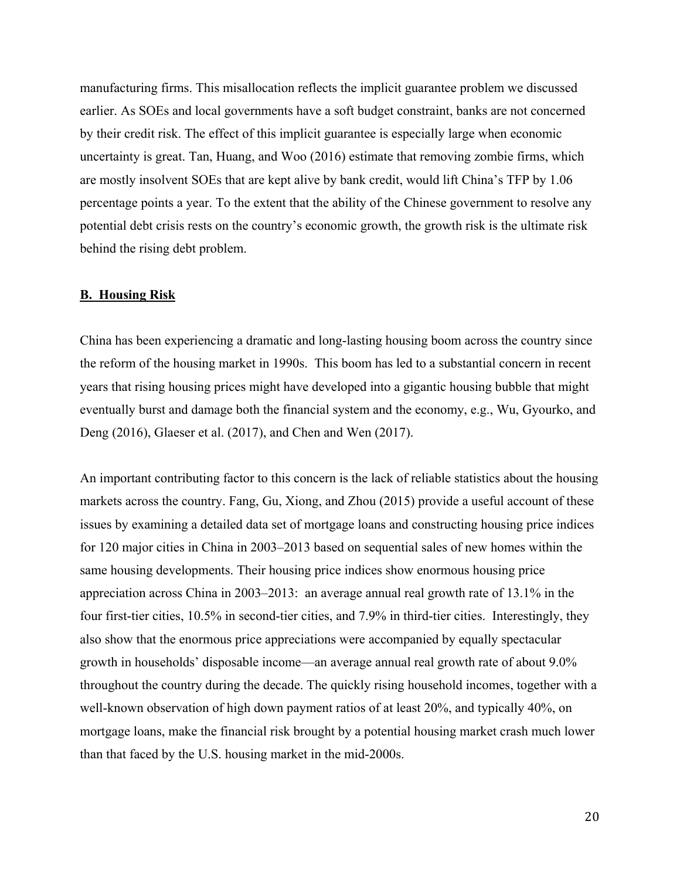manufacturing firms. This misallocation reflects the implicit guarantee problem we discussed earlier. As SOEs and local governments have a soft budget constraint, banks are not concerned by their credit risk. The effect of this implicit guarantee is especially large when economic uncertainty is great. Tan, Huang, and Woo (2016) estimate that removing zombie firms, which are mostly insolvent SOEs that are kept alive by bank credit, would lift China's TFP by 1.06 percentage points a year. To the extent that the ability of the Chinese government to resolve any potential debt crisis rests on the country's economic growth, the growth risk is the ultimate risk behind the rising debt problem.

## **B. Housing Risk**

China has been experiencing a dramatic and long-lasting housing boom across the country since the reform of the housing market in 1990s. This boom has led to a substantial concern in recent years that rising housing prices might have developed into a gigantic housing bubble that might eventually burst and damage both the financial system and the economy, e.g., Wu, Gyourko, and Deng (2016), Glaeser et al. (2017), and Chen and Wen (2017).

An important contributing factor to this concern is the lack of reliable statistics about the housing markets across the country. Fang, Gu, Xiong, and Zhou (2015) provide a useful account of these issues by examining a detailed data set of mortgage loans and constructing housing price indices for 120 major cities in China in 2003–2013 based on sequential sales of new homes within the same housing developments. Their housing price indices show enormous housing price appreciation across China in 2003–2013: an average annual real growth rate of 13.1% in the four first-tier cities, 10.5% in second-tier cities, and 7.9% in third-tier cities. Interestingly, they also show that the enormous price appreciations were accompanied by equally spectacular growth in households' disposable income—an average annual real growth rate of about 9.0% throughout the country during the decade. The quickly rising household incomes, together with a well-known observation of high down payment ratios of at least 20%, and typically 40%, on mortgage loans, make the financial risk brought by a potential housing market crash much lower than that faced by the U.S. housing market in the mid-2000s.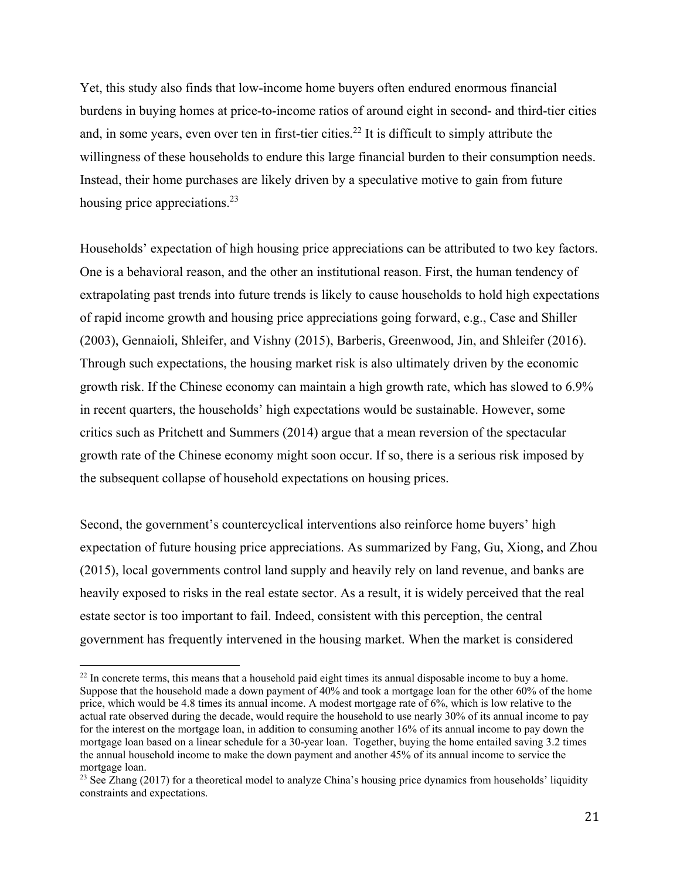Yet, this study also finds that low-income home buyers often endured enormous financial burdens in buying homes at price-to-income ratios of around eight in second- and third-tier cities and, in some years, even over ten in first-tier cities.<sup>22</sup> It is difficult to simply attribute the willingness of these households to endure this large financial burden to their consumption needs. Instead, their home purchases are likely driven by a speculative motive to gain from future housing price appreciations.<sup>23</sup>

Households' expectation of high housing price appreciations can be attributed to two key factors. One is a behavioral reason, and the other an institutional reason. First, the human tendency of extrapolating past trends into future trends is likely to cause households to hold high expectations of rapid income growth and housing price appreciations going forward, e.g., Case and Shiller (2003), Gennaioli, Shleifer, and Vishny (2015), Barberis, Greenwood, Jin, and Shleifer (2016). Through such expectations, the housing market risk is also ultimately driven by the economic growth risk. If the Chinese economy can maintain a high growth rate, which has slowed to 6.9% in recent quarters, the households' high expectations would be sustainable. However, some critics such as Pritchett and Summers (2014) argue that a mean reversion of the spectacular growth rate of the Chinese economy might soon occur. If so, there is a serious risk imposed by the subsequent collapse of household expectations on housing prices.

Second, the government's countercyclical interventions also reinforce home buyers' high expectation of future housing price appreciations. As summarized by Fang, Gu, Xiong, and Zhou (2015), local governments control land supply and heavily rely on land revenue, and banks are heavily exposed to risks in the real estate sector. As a result, it is widely perceived that the real estate sector is too important to fail. Indeed, consistent with this perception, the central government has frequently intervened in the housing market. When the market is considered

<sup>&</sup>lt;sup>22</sup> In concrete terms, this means that a household paid eight times its annual disposable income to buy a home. Suppose that the household made a down payment of 40% and took a mortgage loan for the other 60% of the home price, which would be 4.8 times its annual income. A modest mortgage rate of 6%, which is low relative to the actual rate observed during the decade, would require the household to use nearly 30% of its annual income to pay for the interest on the mortgage loan, in addition to consuming another 16% of its annual income to pay down the mortgage loan based on a linear schedule for a 30-year loan. Together, buying the home entailed saving 3.2 times the annual household income to make the down payment and another 45% of its annual income to service the mortgage loan.

<sup>&</sup>lt;sup>23</sup> See Zhang (2017) for a theoretical model to analyze China's housing price dynamics from households' liquidity constraints and expectations.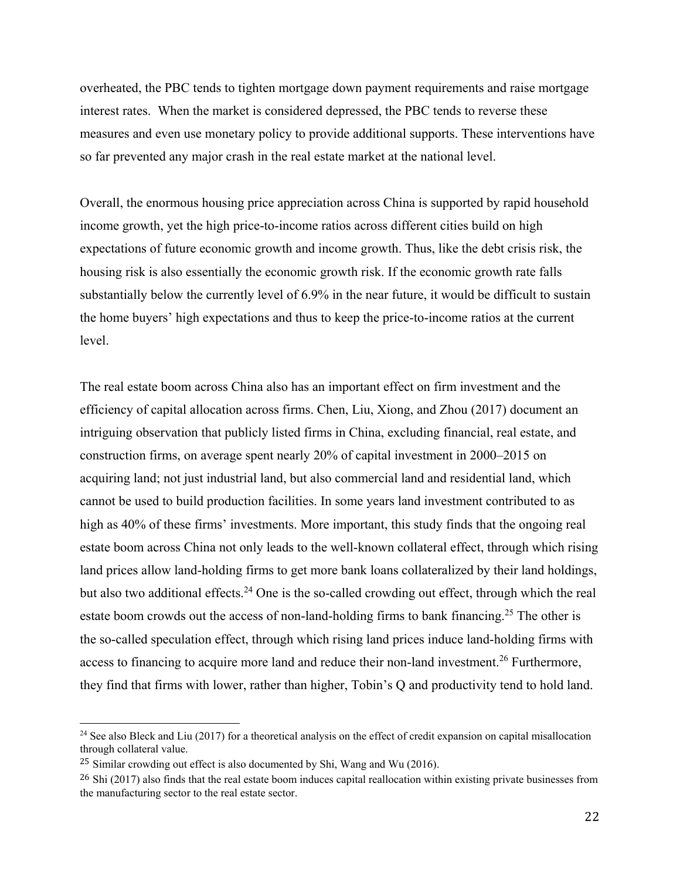overheated, the PBC tends to tighten mortgage down payment requirements and raise mortgage interest rates. When the market is considered depressed, the PBC tends to reverse these measures and even use monetary policy to provide additional supports. These interventions have so far prevented any major crash in the real estate market at the national level.

Overall, the enormous housing price appreciation across China is supported by rapid household income growth, yet the high price-to-income ratios across different cities build on high expectations of future economic growth and income growth. Thus, like the debt crisis risk, the housing risk is also essentially the economic growth risk. If the economic growth rate falls substantially below the currently level of 6.9% in the near future, it would be difficult to sustain the home buyers' high expectations and thus to keep the price-to-income ratios at the current level.

The real estate boom across China also has an important effect on firm investment and the efficiency of capital allocation across firms. Chen, Liu, Xiong, and Zhou (2017) document an intriguing observation that publicly listed firms in China, excluding financial, real estate, and construction firms, on average spent nearly 20% of capital investment in 2000–2015 on acquiring land; not just industrial land, but also commercial land and residential land, which cannot be used to build production facilities. In some years land investment contributed to as high as 40% of these firms' investments. More important, this study finds that the ongoing real estate boom across China not only leads to the well-known collateral effect, through which rising land prices allow land-holding firms to get more bank loans collateralized by their land holdings, but also two additional effects.<sup>24</sup> One is the so-called crowding out effect, through which the real estate boom crowds out the access of non-land-holding firms to bank financing.<sup>25</sup> The other is the so-called speculation effect, through which rising land prices induce land-holding firms with access to financing to acquire more land and reduce their non-land investment.<sup>26</sup> Furthermore, they find that firms with lower, rather than higher, Tobin's Q and productivity tend to hold land.

<sup>&</sup>lt;sup>24</sup> See also Bleck and Liu (2017) for a theoretical analysis on the effect of credit expansion on capital misallocation through collateral value.

<sup>&</sup>lt;sup>25</sup> Similar crowding out effect is also documented by Shi, Wang and Wu (2016).

 $^{26}$  Shi (2017) also finds that the real estate boom induces capital reallocation within existing private businesses from the manufacturing sector to the real estate sector.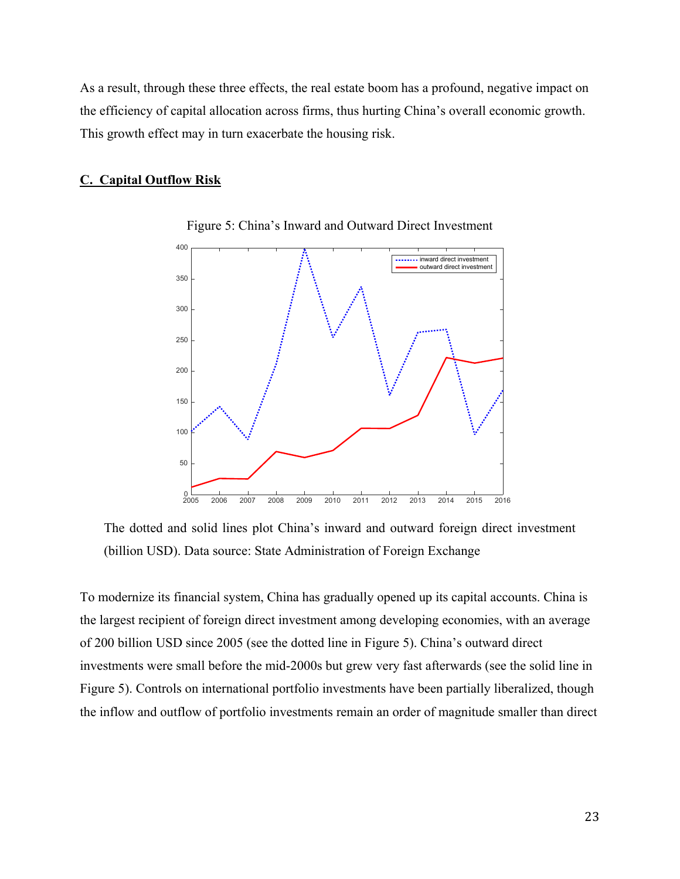As a result, through these three effects, the real estate boom has a profound, negative impact on the efficiency of capital allocation across firms, thus hurting China's overall economic growth. This growth effect may in turn exacerbate the housing risk.

### **C. Capital Outflow Risk**



Figure 5: China's Inward and Outward Direct Investment

The dotted and solid lines plot China's inward and outward foreign direct investment (billion USD). Data source: State Administration of Foreign Exchange

To modernize its financial system, China has gradually opened up its capital accounts. China is the largest recipient of foreign direct investment among developing economies, with an average of 200 billion USD since 2005 (see the dotted line in Figure 5). China's outward direct investments were small before the mid-2000s but grew very fast afterwards (see the solid line in Figure 5). Controls on international portfolio investments have been partially liberalized, though the inflow and outflow of portfolio investments remain an order of magnitude smaller than direct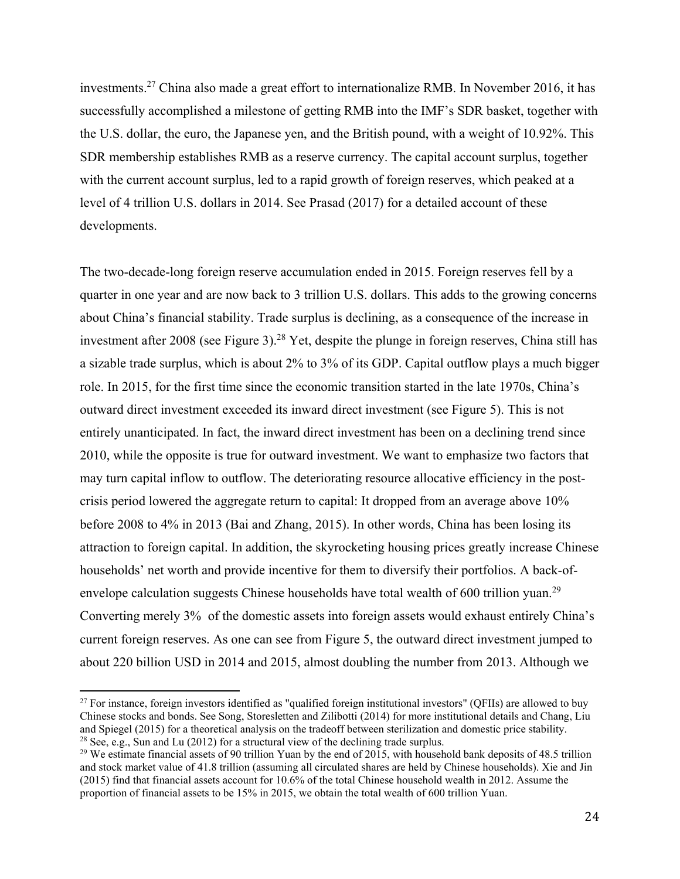investments.27 China also made a great effort to internationalize RMB. In November 2016, it has successfully accomplished a milestone of getting RMB into the IMF's SDR basket, together with the U.S. dollar, the euro, the Japanese yen, and the British pound, with a weight of 10.92%. This SDR membership establishes RMB as a reserve currency. The capital account surplus, together with the current account surplus, led to a rapid growth of foreign reserves, which peaked at a level of 4 trillion U.S. dollars in 2014. See Prasad (2017) for a detailed account of these developments.

The two-decade-long foreign reserve accumulation ended in 2015. Foreign reserves fell by a quarter in one year and are now back to 3 trillion U.S. dollars. This adds to the growing concerns about China's financial stability. Trade surplus is declining, as a consequence of the increase in investment after 2008 (see Figure 3).<sup>28</sup> Yet, despite the plunge in foreign reserves, China still has a sizable trade surplus, which is about 2% to 3% of its GDP. Capital outflow plays a much bigger role. In 2015, for the first time since the economic transition started in the late 1970s, China's outward direct investment exceeded its inward direct investment (see Figure 5). This is not entirely unanticipated. In fact, the inward direct investment has been on a declining trend since 2010, while the opposite is true for outward investment. We want to emphasize two factors that may turn capital inflow to outflow. The deteriorating resource allocative efficiency in the postcrisis period lowered the aggregate return to capital: It dropped from an average above 10% before 2008 to 4% in 2013 (Bai and Zhang, 2015). In other words, China has been losing its attraction to foreign capital. In addition, the skyrocketing housing prices greatly increase Chinese households' net worth and provide incentive for them to diversify their portfolios. A back-ofenvelope calculation suggests Chinese households have total wealth of 600 trillion yuan.<sup>29</sup> Converting merely 3% of the domestic assets into foreign assets would exhaust entirely China's current foreign reserves. As one can see from Figure 5, the outward direct investment jumped to about 220 billion USD in 2014 and 2015, almost doubling the number from 2013. Although we

1

 $27$  For instance, foreign investors identified as "qualified foreign institutional investors" (OFIIs) are allowed to buy Chinese stocks and bonds. See Song, Storesletten and Zilibotti (2014) for more institutional details and Chang, Liu and Spiegel (2015) for a theoretical analysis on the tradeoff between sterilization and domestic price stability. <sup>28</sup> See, e.g., Sun and Lu (2012) for a structural view of the declining trade surplus.

<sup>&</sup>lt;sup>29</sup> We estimate financial assets of 90 trillion Yuan by the end of 2015, with household bank deposits of 48.5 trillion and stock market value of 41.8 trillion (assuming all circulated shares are held by Chinese households). Xie and Jin (2015) find that financial assets account for 10.6% of the total Chinese household wealth in 2012. Assume the proportion of financial assets to be 15% in 2015, we obtain the total wealth of 600 trillion Yuan.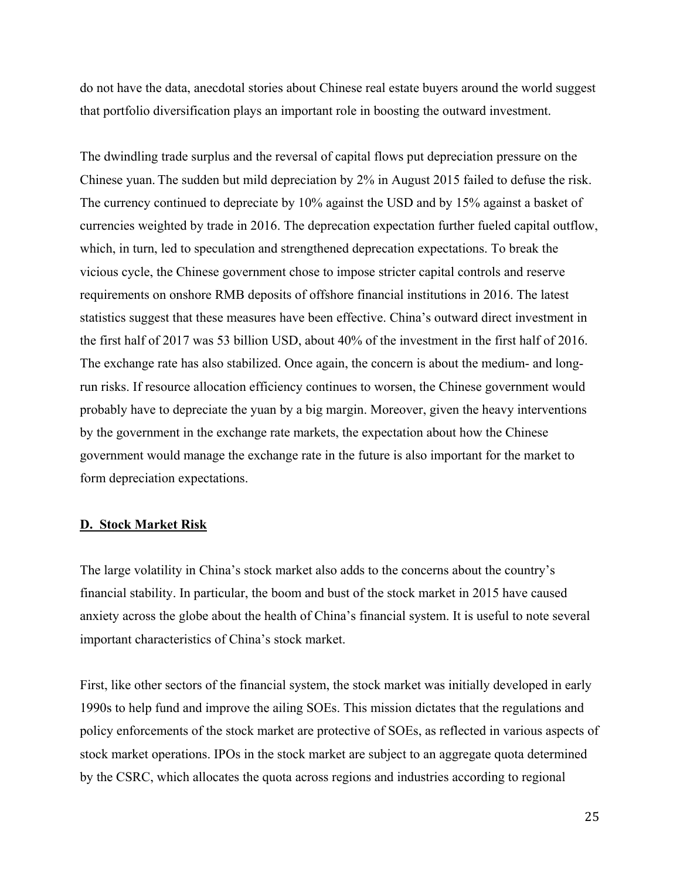do not have the data, anecdotal stories about Chinese real estate buyers around the world suggest that portfolio diversification plays an important role in boosting the outward investment.

The dwindling trade surplus and the reversal of capital flows put depreciation pressure on the Chinese yuan. The sudden but mild depreciation by 2% in August 2015 failed to defuse the risk. The currency continued to depreciate by 10% against the USD and by 15% against a basket of currencies weighted by trade in 2016. The deprecation expectation further fueled capital outflow, which, in turn, led to speculation and strengthened deprecation expectations. To break the vicious cycle, the Chinese government chose to impose stricter capital controls and reserve requirements on onshore RMB deposits of offshore financial institutions in 2016. The latest statistics suggest that these measures have been effective. China's outward direct investment in the first half of 2017 was 53 billion USD, about 40% of the investment in the first half of 2016. The exchange rate has also stabilized. Once again, the concern is about the medium- and longrun risks. If resource allocation efficiency continues to worsen, the Chinese government would probably have to depreciate the yuan by a big margin. Moreover, given the heavy interventions by the government in the exchange rate markets, the expectation about how the Chinese government would manage the exchange rate in the future is also important for the market to form depreciation expectations.

## **D. Stock Market Risk**

The large volatility in China's stock market also adds to the concerns about the country's financial stability. In particular, the boom and bust of the stock market in 2015 have caused anxiety across the globe about the health of China's financial system. It is useful to note several important characteristics of China's stock market.

First, like other sectors of the financial system, the stock market was initially developed in early 1990s to help fund and improve the ailing SOEs. This mission dictates that the regulations and policy enforcements of the stock market are protective of SOEs, as reflected in various aspects of stock market operations. IPOs in the stock market are subject to an aggregate quota determined by the CSRC, which allocates the quota across regions and industries according to regional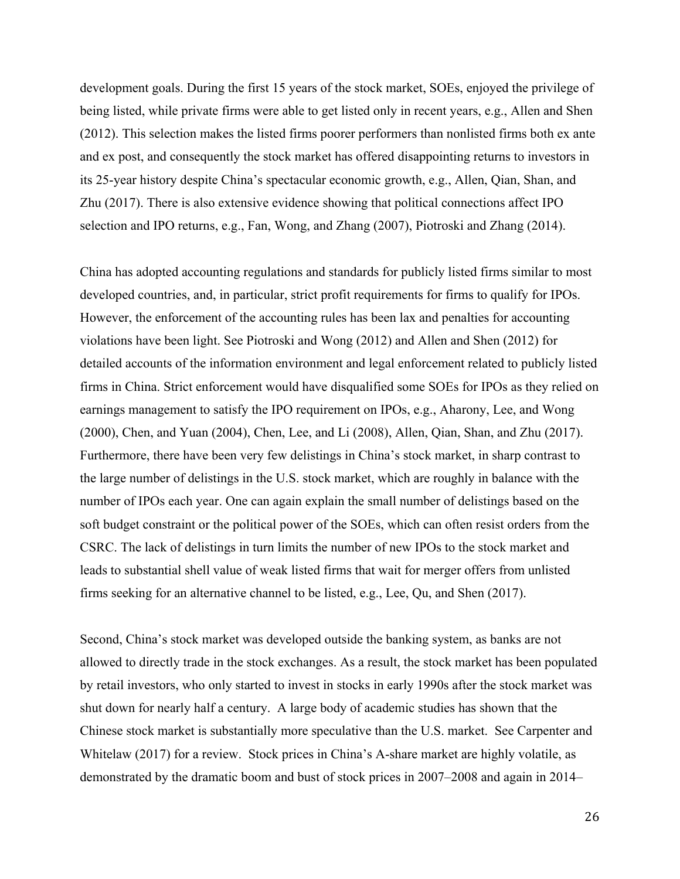development goals. During the first 15 years of the stock market, SOEs, enjoyed the privilege of being listed, while private firms were able to get listed only in recent years, e.g., Allen and Shen (2012). This selection makes the listed firms poorer performers than nonlisted firms both ex ante and ex post, and consequently the stock market has offered disappointing returns to investors in its 25-year history despite China's spectacular economic growth, e.g., Allen, Qian, Shan, and Zhu (2017). There is also extensive evidence showing that political connections affect IPO selection and IPO returns, e.g., Fan, Wong, and Zhang (2007), Piotroski and Zhang (2014).

China has adopted accounting regulations and standards for publicly listed firms similar to most developed countries, and, in particular, strict profit requirements for firms to qualify for IPOs. However, the enforcement of the accounting rules has been lax and penalties for accounting violations have been light. See Piotroski and Wong (2012) and Allen and Shen (2012) for detailed accounts of the information environment and legal enforcement related to publicly listed firms in China. Strict enforcement would have disqualified some SOEs for IPOs as they relied on earnings management to satisfy the IPO requirement on IPOs, e.g., Aharony, Lee, and Wong (2000), Chen, and Yuan (2004), Chen, Lee, and Li (2008), Allen, Qian, Shan, and Zhu (2017). Furthermore, there have been very few delistings in China's stock market, in sharp contrast to the large number of delistings in the U.S. stock market, which are roughly in balance with the number of IPOs each year. One can again explain the small number of delistings based on the soft budget constraint or the political power of the SOEs, which can often resist orders from the CSRC. The lack of delistings in turn limits the number of new IPOs to the stock market and leads to substantial shell value of weak listed firms that wait for merger offers from unlisted firms seeking for an alternative channel to be listed, e.g., Lee, Qu, and Shen (2017).

Second, China's stock market was developed outside the banking system, as banks are not allowed to directly trade in the stock exchanges. As a result, the stock market has been populated by retail investors, who only started to invest in stocks in early 1990s after the stock market was shut down for nearly half a century. A large body of academic studies has shown that the Chinese stock market is substantially more speculative than the U.S. market. See Carpenter and Whitelaw (2017) for a review. Stock prices in China's A-share market are highly volatile, as demonstrated by the dramatic boom and bust of stock prices in 2007–2008 and again in 2014–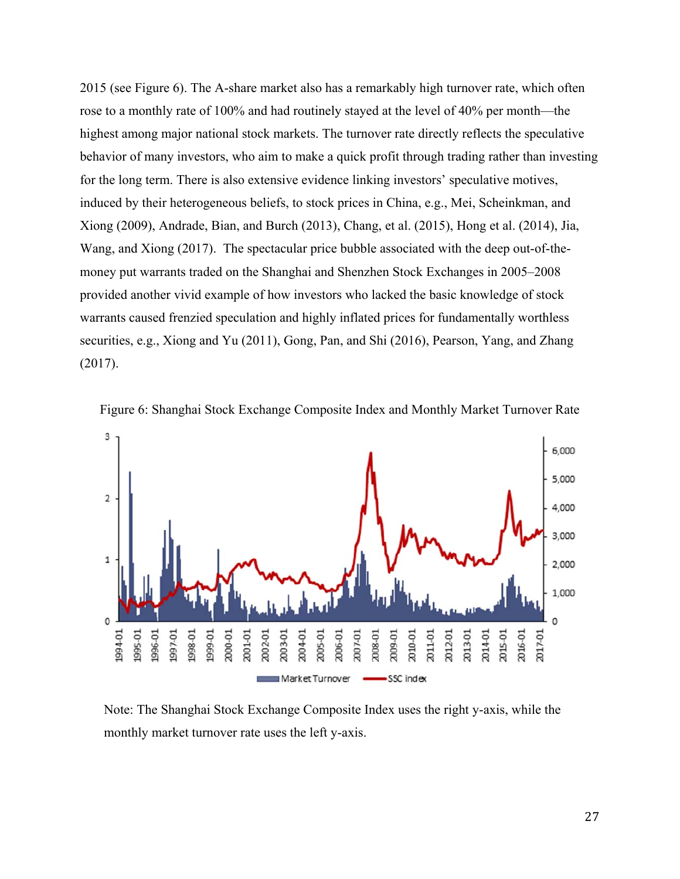2015 (see Figure 6). The A-share market also has a remarkably high turnover rate, which often rose to a monthly rate of 100% and had routinely stayed at the level of 40% per month—the highest among major national stock markets. The turnover rate directly reflects the speculative behavior of many investors, who aim to make a quick profit through trading rather than investing for the long term. There is also extensive evidence linking investors' speculative motives, induced by their heterogeneous beliefs, to stock prices in China, e.g., Mei, Scheinkman, and Xiong (2009), Andrade, Bian, and Burch (2013), Chang, et al. (2015), Hong et al. (2014), Jia, Wang, and Xiong (2017). The spectacular price bubble associated with the deep out-of-themoney put warrants traded on the Shanghai and Shenzhen Stock Exchanges in 2005–2008 provided another vivid example of how investors who lacked the basic knowledge of stock warrants caused frenzied speculation and highly inflated prices for fundamentally worthless securities, e.g., Xiong and Yu (2011), Gong, Pan, and Shi (2016), Pearson, Yang, and Zhang (2017).



Figure 6: Shanghai Stock Exchange Composite Index and Monthly Market Turnover Rate

Note: The Shanghai Stock Exchange Composite Index uses the right y-axis, while the monthly market turnover rate uses the left y-axis.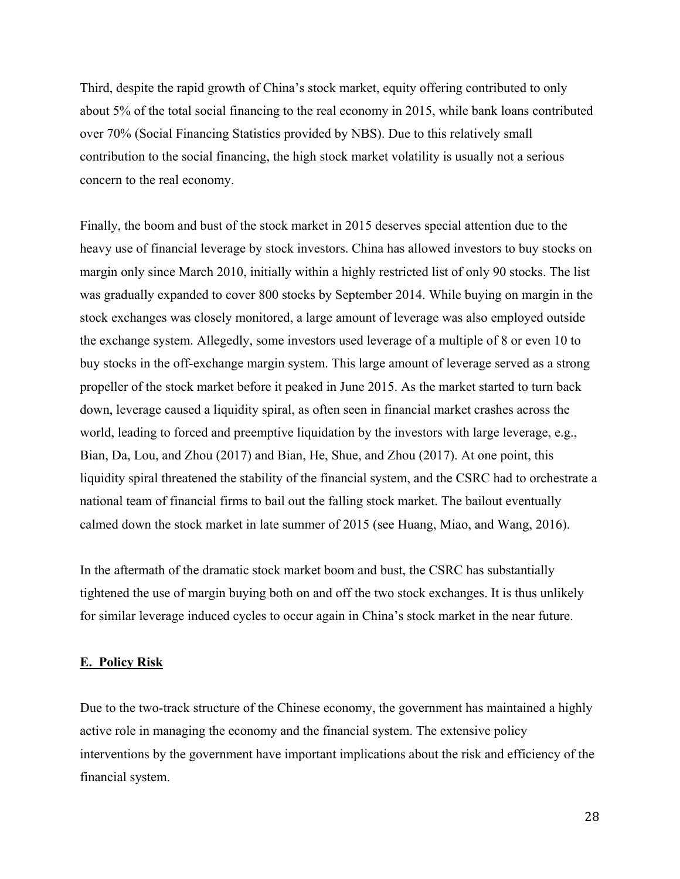Third, despite the rapid growth of China's stock market, equity offering contributed to only about 5% of the total social financing to the real economy in 2015, while bank loans contributed over 70% (Social Financing Statistics provided by NBS). Due to this relatively small contribution to the social financing, the high stock market volatility is usually not a serious concern to the real economy.

Finally, the boom and bust of the stock market in 2015 deserves special attention due to the heavy use of financial leverage by stock investors. China has allowed investors to buy stocks on margin only since March 2010, initially within a highly restricted list of only 90 stocks. The list was gradually expanded to cover 800 stocks by September 2014. While buying on margin in the stock exchanges was closely monitored, a large amount of leverage was also employed outside the exchange system. Allegedly, some investors used leverage of a multiple of 8 or even 10 to buy stocks in the off-exchange margin system. This large amount of leverage served as a strong propeller of the stock market before it peaked in June 2015. As the market started to turn back down, leverage caused a liquidity spiral, as often seen in financial market crashes across the world, leading to forced and preemptive liquidation by the investors with large leverage, e.g., Bian, Da, Lou, and Zhou (2017) and Bian, He, Shue, and Zhou (2017). At one point, this liquidity spiral threatened the stability of the financial system, and the CSRC had to orchestrate a national team of financial firms to bail out the falling stock market. The bailout eventually calmed down the stock market in late summer of 2015 (see Huang, Miao, and Wang, 2016).

In the aftermath of the dramatic stock market boom and bust, the CSRC has substantially tightened the use of margin buying both on and off the two stock exchanges. It is thus unlikely for similar leverage induced cycles to occur again in China's stock market in the near future.

#### **E. Policy Risk**

Due to the two-track structure of the Chinese economy, the government has maintained a highly active role in managing the economy and the financial system. The extensive policy interventions by the government have important implications about the risk and efficiency of the financial system.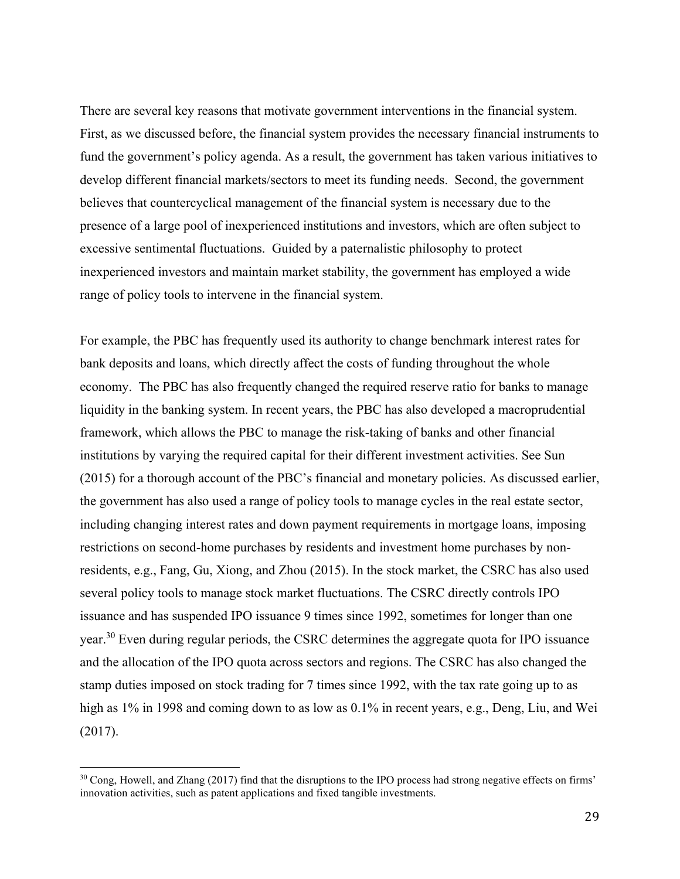There are several key reasons that motivate government interventions in the financial system. First, as we discussed before, the financial system provides the necessary financial instruments to fund the government's policy agenda. As a result, the government has taken various initiatives to develop different financial markets/sectors to meet its funding needs. Second, the government believes that countercyclical management of the financial system is necessary due to the presence of a large pool of inexperienced institutions and investors, which are often subject to excessive sentimental fluctuations. Guided by a paternalistic philosophy to protect inexperienced investors and maintain market stability, the government has employed a wide range of policy tools to intervene in the financial system.

For example, the PBC has frequently used its authority to change benchmark interest rates for bank deposits and loans, which directly affect the costs of funding throughout the whole economy. The PBC has also frequently changed the required reserve ratio for banks to manage liquidity in the banking system. In recent years, the PBC has also developed a macroprudential framework, which allows the PBC to manage the risk-taking of banks and other financial institutions by varying the required capital for their different investment activities. See Sun (2015) for a thorough account of the PBC's financial and monetary policies. As discussed earlier, the government has also used a range of policy tools to manage cycles in the real estate sector, including changing interest rates and down payment requirements in mortgage loans, imposing restrictions on second-home purchases by residents and investment home purchases by nonresidents, e.g., Fang, Gu, Xiong, and Zhou (2015). In the stock market, the CSRC has also used several policy tools to manage stock market fluctuations. The CSRC directly controls IPO issuance and has suspended IPO issuance 9 times since 1992, sometimes for longer than one year.<sup>30</sup> Even during regular periods, the CSRC determines the aggregate quota for IPO issuance and the allocation of the IPO quota across sectors and regions. The CSRC has also changed the stamp duties imposed on stock trading for 7 times since 1992, with the tax rate going up to as high as 1% in 1998 and coming down to as low as 0.1% in recent years, e.g., Deng, Liu, and Wei (2017).

<sup>&</sup>lt;sup>30</sup> Cong, Howell, and Zhang (2017) find that the disruptions to the IPO process had strong negative effects on firms' innovation activities, such as patent applications and fixed tangible investments.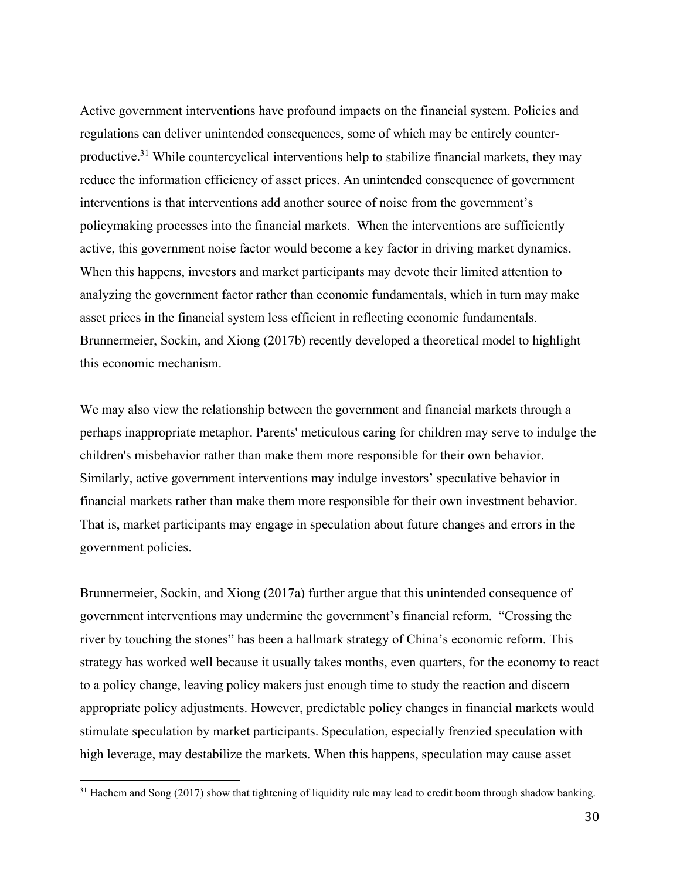Active government interventions have profound impacts on the financial system. Policies and regulations can deliver unintended consequences, some of which may be entirely counterproductive.<sup>31</sup> While countercyclical interventions help to stabilize financial markets, they may reduce the information efficiency of asset prices. An unintended consequence of government interventions is that interventions add another source of noise from the government's policymaking processes into the financial markets. When the interventions are sufficiently active, this government noise factor would become a key factor in driving market dynamics. When this happens, investors and market participants may devote their limited attention to analyzing the government factor rather than economic fundamentals, which in turn may make asset prices in the financial system less efficient in reflecting economic fundamentals. Brunnermeier, Sockin, and Xiong (2017b) recently developed a theoretical model to highlight this economic mechanism.

We may also view the relationship between the government and financial markets through a perhaps inappropriate metaphor. Parents' meticulous caring for children may serve to indulge the children's misbehavior rather than make them more responsible for their own behavior. Similarly, active government interventions may indulge investors' speculative behavior in financial markets rather than make them more responsible for their own investment behavior. That is, market participants may engage in speculation about future changes and errors in the government policies.

Brunnermeier, Sockin, and Xiong (2017a) further argue that this unintended consequence of government interventions may undermine the government's financial reform. "Crossing the river by touching the stones" has been a hallmark strategy of China's economic reform. This strategy has worked well because it usually takes months, even quarters, for the economy to react to a policy change, leaving policy makers just enough time to study the reaction and discern appropriate policy adjustments. However, predictable policy changes in financial markets would stimulate speculation by market participants. Speculation, especially frenzied speculation with high leverage, may destabilize the markets. When this happens, speculation may cause asset

<sup>&</sup>lt;sup>31</sup> Hachem and Song (2017) show that tightening of liquidity rule may lead to credit boom through shadow banking.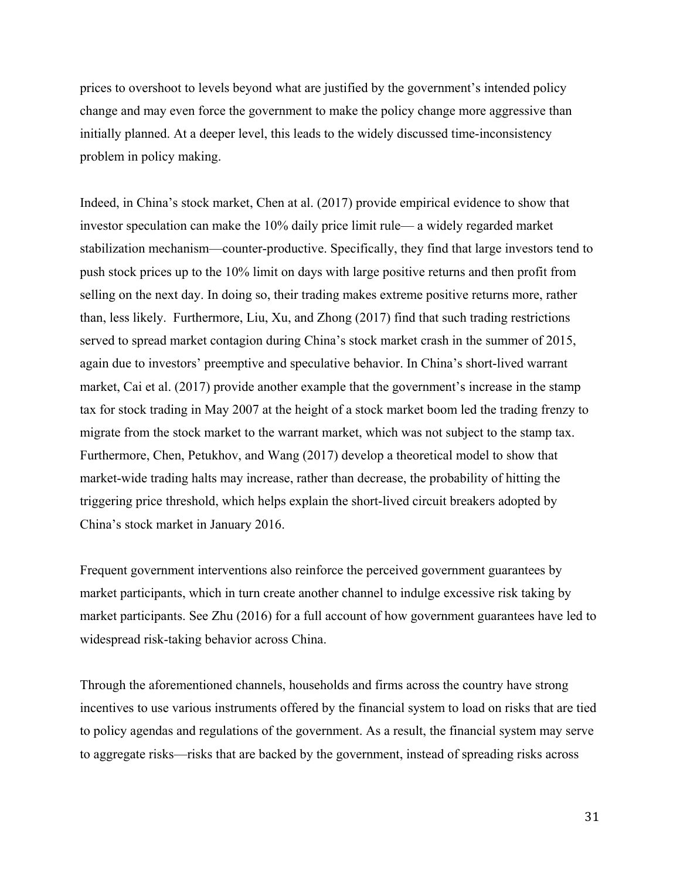prices to overshoot to levels beyond what are justified by the government's intended policy change and may even force the government to make the policy change more aggressive than initially planned. At a deeper level, this leads to the widely discussed time-inconsistency problem in policy making.

Indeed, in China's stock market, Chen at al. (2017) provide empirical evidence to show that investor speculation can make the 10% daily price limit rule— a widely regarded market stabilization mechanism—counter-productive. Specifically, they find that large investors tend to push stock prices up to the 10% limit on days with large positive returns and then profit from selling on the next day. In doing so, their trading makes extreme positive returns more, rather than, less likely. Furthermore, Liu, Xu, and Zhong (2017) find that such trading restrictions served to spread market contagion during China's stock market crash in the summer of 2015, again due to investors' preemptive and speculative behavior. In China's short-lived warrant market, Cai et al. (2017) provide another example that the government's increase in the stamp tax for stock trading in May 2007 at the height of a stock market boom led the trading frenzy to migrate from the stock market to the warrant market, which was not subject to the stamp tax. Furthermore, Chen, Petukhov, and Wang (2017) develop a theoretical model to show that market-wide trading halts may increase, rather than decrease, the probability of hitting the triggering price threshold, which helps explain the short-lived circuit breakers adopted by China's stock market in January 2016.

Frequent government interventions also reinforce the perceived government guarantees by market participants, which in turn create another channel to indulge excessive risk taking by market participants. See Zhu (2016) for a full account of how government guarantees have led to widespread risk-taking behavior across China.

Through the aforementioned channels, households and firms across the country have strong incentives to use various instruments offered by the financial system to load on risks that are tied to policy agendas and regulations of the government. As a result, the financial system may serve to aggregate risks—risks that are backed by the government, instead of spreading risks across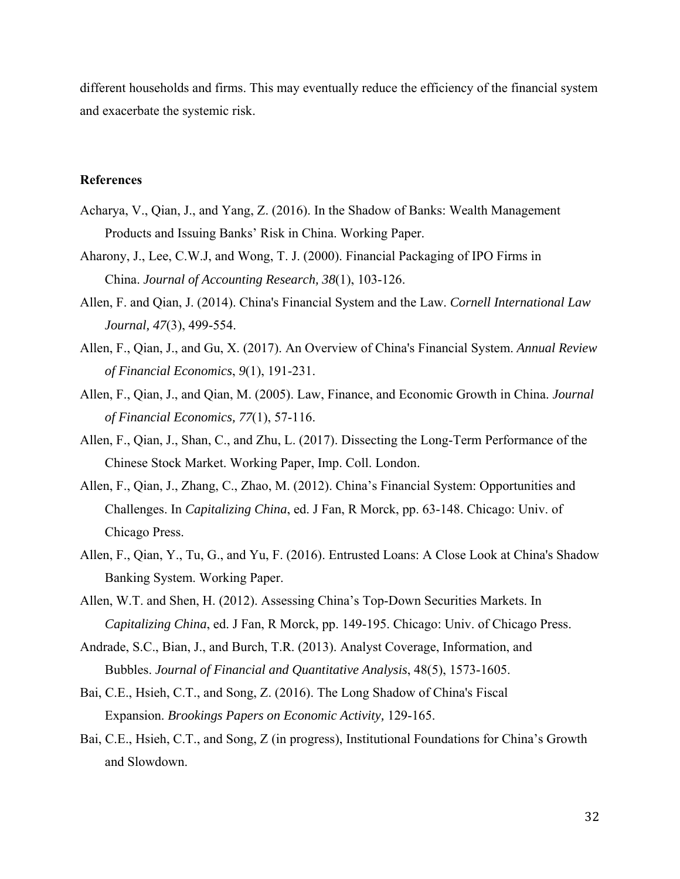different households and firms. This may eventually reduce the efficiency of the financial system and exacerbate the systemic risk.

# **References**

- Acharya, V., Qian, J., and Yang, Z. (2016). In the Shadow of Banks: Wealth Management Products and Issuing Banks' Risk in China. Working Paper.
- Aharony, J., Lee, C.W.J, and Wong, T. J. (2000). Financial Packaging of IPO Firms in China. *Journal of Accounting Research, 38*(1), 103-126.
- Allen, F. and Qian, J. (2014). China's Financial System and the Law. *Cornell International Law Journal, 47*(3), 499-554.
- Allen, F., Qian, J., and Gu, X. (2017). An Overview of China's Financial System. *Annual Review of Financial Economics*, *9*(1), 191-231.
- Allen, F., Qian, J., and Qian, M. (2005). Law, Finance, and Economic Growth in China. *Journal of Financial Economics, 77*(1), 57-116.
- Allen, F., Qian, J., Shan, C., and Zhu, L. (2017). Dissecting the Long-Term Performance of the Chinese Stock Market. Working Paper, Imp. Coll. London.
- Allen, F., Qian, J., Zhang, C., Zhao, M. (2012). China's Financial System: Opportunities and Challenges. In *Capitalizing China*, ed. J Fan, R Morck, pp. 63-148. Chicago: Univ. of Chicago Press.
- Allen, F., Qian, Y., Tu, G., and Yu, F. (2016). Entrusted Loans: A Close Look at China's Shadow Banking System. Working Paper.
- Allen, W.T. and Shen, H. (2012). Assessing China's Top-Down Securities Markets. In *Capitalizing China*, ed. J Fan, R Morck, pp. 149-195. Chicago: Univ. of Chicago Press.
- Andrade, S.C., Bian, J., and Burch, T.R. (2013). Analyst Coverage, Information, and Bubbles. *Journal of Financial and Quantitative Analysis*, 48(5), 1573-1605.
- Bai, C.E., Hsieh, C.T., and Song, Z. (2016). The Long Shadow of China's Fiscal Expansion. *Brookings Papers on Economic Activity,* 129-165.
- Bai, C.E., Hsieh, C.T., and Song, Z (in progress), Institutional Foundations for China's Growth and Slowdown.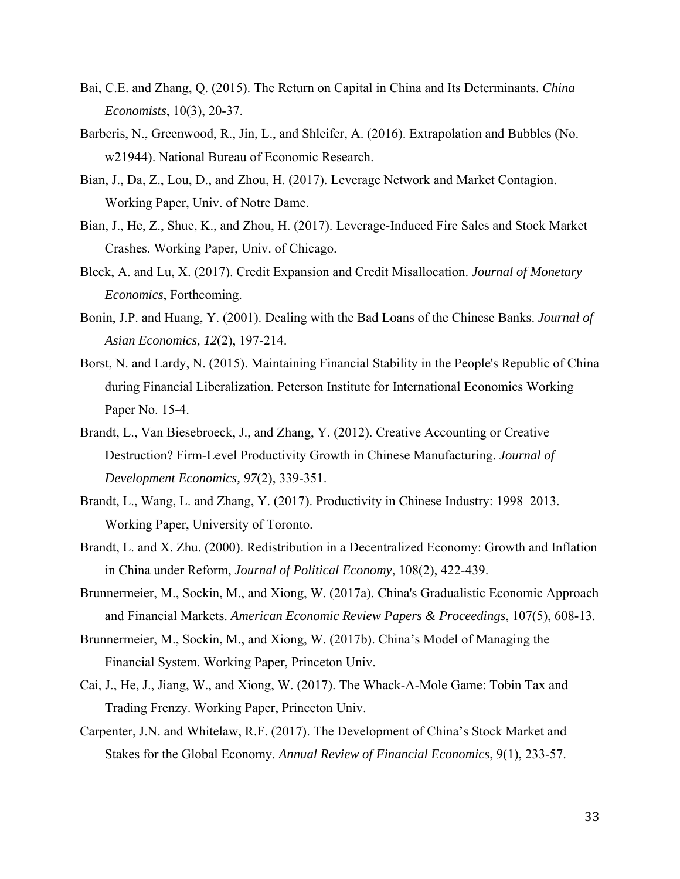- Bai, C.E. and Zhang, Q. (2015). The Return on Capital in China and Its Determinants. *China Economists*, 10(3), 20-37.
- Barberis, N., Greenwood, R., Jin, L., and Shleifer, A. (2016). Extrapolation and Bubbles (No. w21944). National Bureau of Economic Research.
- Bian, J., Da, Z., Lou, D., and Zhou, H. (2017). Leverage Network and Market Contagion. Working Paper, Univ. of Notre Dame.
- Bian, J., He, Z., Shue, K., and Zhou, H. (2017). Leverage-Induced Fire Sales and Stock Market Crashes. Working Paper, Univ. of Chicago.
- Bleck, A. and Lu, X. (2017). Credit Expansion and Credit Misallocation. *Journal of Monetary Economics*, Forthcoming.
- Bonin, J.P. and Huang, Y. (2001). Dealing with the Bad Loans of the Chinese Banks. *Journal of Asian Economics, 12*(2), 197-214.
- Borst, N. and Lardy, N. (2015). Maintaining Financial Stability in the People's Republic of China during Financial Liberalization. Peterson Institute for International Economics Working Paper No. 15-4.
- Brandt, L., Van Biesebroeck, J., and Zhang, Y. (2012). Creative Accounting or Creative Destruction? Firm-Level Productivity Growth in Chinese Manufacturing. *Journal of Development Economics, 97*(2), 339-351.
- Brandt, L., Wang, L. and Zhang, Y. (2017). Productivity in Chinese Industry: 1998–2013. Working Paper, University of Toronto.
- Brandt, L. and X. Zhu. (2000). Redistribution in a Decentralized Economy: Growth and Inflation in China under Reform, *Journal of Political Economy*, 108(2), 422-439.
- Brunnermeier, M., Sockin, M., and Xiong, W. (2017a). China's Gradualistic Economic Approach and Financial Markets. *American Economic Review Papers & Proceedings*, 107(5), 608-13.
- Brunnermeier, M., Sockin, M., and Xiong, W. (2017b). China's Model of Managing the Financial System. Working Paper, Princeton Univ.
- Cai, J., He, J., Jiang, W., and Xiong, W. (2017). The Whack-A-Mole Game: Tobin Tax and Trading Frenzy. Working Paper, Princeton Univ.
- Carpenter, J.N. and Whitelaw, R.F. (2017). The Development of China's Stock Market and Stakes for the Global Economy. *Annual Review of Financial Economics*, 9(1), 233-57.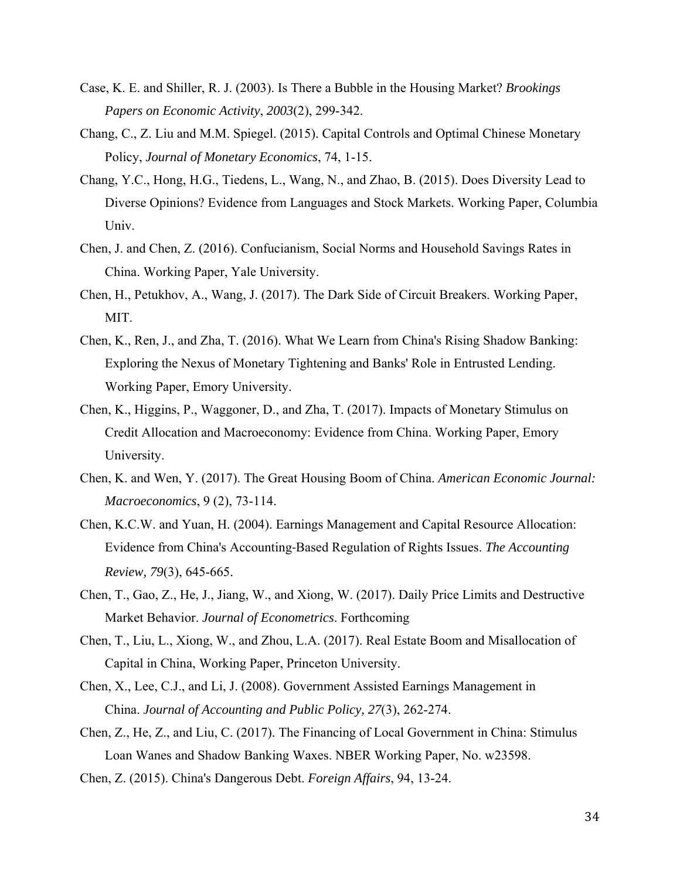- Case, K. E. and Shiller, R. J. (2003). Is There a Bubble in the Housing Market? *Brookings Papers on Economic Activity*, *2003*(2), 299-342.
- Chang, C., Z. Liu and M.M. Spiegel. (2015). Capital Controls and Optimal Chinese Monetary Policy, *Journal of Monetary Economics*, 74, 1-15.
- Chang, Y.C., Hong, H.G., Tiedens, L., Wang, N., and Zhao, B. (2015). Does Diversity Lead to Diverse Opinions? Evidence from Languages and Stock Markets. Working Paper, Columbia Univ.
- Chen, J. and Chen, Z. (2016). Confucianism, Social Norms and Household Savings Rates in China. Working Paper, Yale University.
- Chen, H., Petukhov, A., Wang, J. (2017). The Dark Side of Circuit Breakers. Working Paper, MIT.
- Chen, K., Ren, J., and Zha, T. (2016). What We Learn from China's Rising Shadow Banking: Exploring the Nexus of Monetary Tightening and Banks' Role in Entrusted Lending. Working Paper, Emory University.
- Chen, K., Higgins, P., Waggoner, D., and Zha, T. (2017). Impacts of Monetary Stimulus on Credit Allocation and Macroeconomy: Evidence from China. Working Paper, Emory University.
- Chen, K. and Wen, Y. (2017). The Great Housing Boom of China. *American Economic Journal: Macroeconomics*, 9 (2), 73-114.
- Chen, K.C.W. and Yuan, H. (2004). Earnings Management and Capital Resource Allocation: Evidence from China's Accounting‐Based Regulation of Rights Issues. *The Accounting Review, 79*(3), 645-665.
- Chen, T., Gao, Z., He, J., Jiang, W., and Xiong, W. (2017). Daily Price Limits and Destructive Market Behavior. *Journal of Econometrics*. Forthcoming
- Chen, T., Liu, L., Xiong, W., and Zhou, L.A. (2017). Real Estate Boom and Misallocation of Capital in China, Working Paper, Princeton University.
- Chen, X., Lee, C.J., and Li, J. (2008). Government Assisted Earnings Management in China. *Journal of Accounting and Public Policy, 27*(3), 262-274.
- Chen, Z., He, Z., and Liu, C. (2017). The Financing of Local Government in China: Stimulus Loan Wanes and Shadow Banking Waxes. NBER Working Paper, No. w23598.
- Chen, Z. (2015). China's Dangerous Debt. *Foreign Affairs*, 94, 13-24.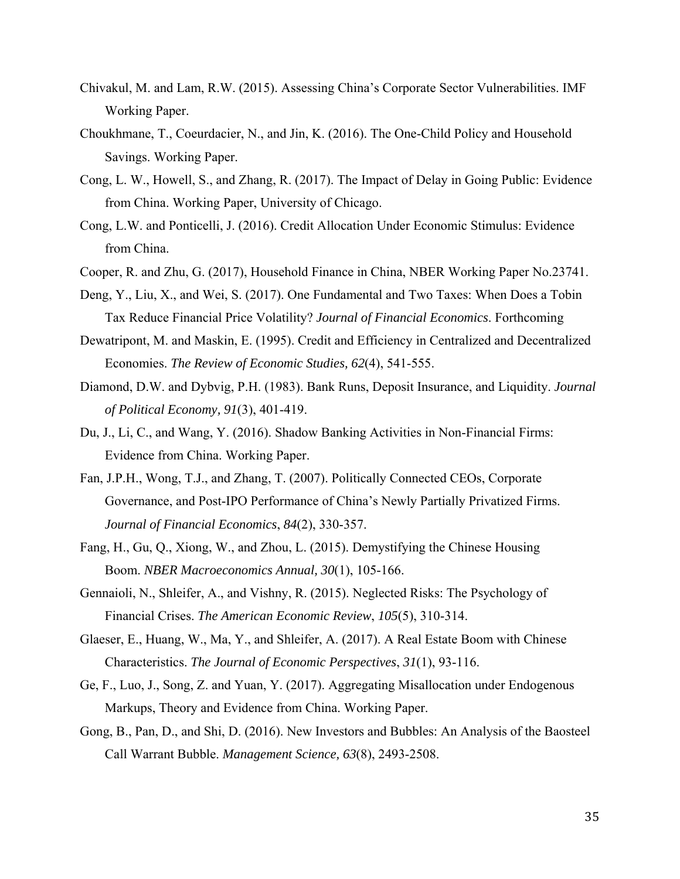- Chivakul, M. and Lam, R.W. (2015). Assessing China's Corporate Sector Vulnerabilities. IMF Working Paper.
- Choukhmane, T., Coeurdacier, N., and Jin, K. (2016). The One-Child Policy and Household Savings. Working Paper.
- Cong, L. W., Howell, S., and Zhang, R. (2017). The Impact of Delay in Going Public: Evidence from China. Working Paper, University of Chicago.
- Cong, L.W. and Ponticelli, J. (2016). Credit Allocation Under Economic Stimulus: Evidence from China.
- Cooper, R. and Zhu, G. (2017), Household Finance in China, NBER Working Paper No.23741.
- Deng, Y., Liu, X., and Wei, S. (2017). One Fundamental and Two Taxes: When Does a Tobin Tax Reduce Financial Price Volatility? *Journal of Financial Economics*. Forthcoming
- Dewatripont, M. and Maskin, E. (1995). Credit and Efficiency in Centralized and Decentralized Economies. *The Review of Economic Studies, 62*(4), 541-555.
- Diamond, D.W. and Dybvig, P.H. (1983). Bank Runs, Deposit Insurance, and Liquidity. *Journal of Political Economy, 91*(3), 401-419.
- Du, J., Li, C., and Wang, Y. (2016). Shadow Banking Activities in Non-Financial Firms: Evidence from China. Working Paper.
- Fan, J.P.H., Wong, T.J., and Zhang, T. (2007). Politically Connected CEOs, Corporate Governance, and Post-IPO Performance of China's Newly Partially Privatized Firms. *Journal of Financial Economics*, *84*(2), 330-357.
- Fang, H., Gu, Q., Xiong, W., and Zhou, L. (2015). Demystifying the Chinese Housing Boom. *NBER Macroeconomics Annual, 30*(1), 105-166.
- Gennaioli, N., Shleifer, A., and Vishny, R. (2015). Neglected Risks: The Psychology of Financial Crises. *The American Economic Review*, *105*(5), 310-314.
- Glaeser, E., Huang, W., Ma, Y., and Shleifer, A. (2017). A Real Estate Boom with Chinese Characteristics. *The Journal of Economic Perspectives*, *31*(1), 93-116.
- Ge, F., Luo, J., Song, Z. and Yuan, Y. (2017). Aggregating Misallocation under Endogenous Markups, Theory and Evidence from China. Working Paper.
- Gong, B., Pan, D., and Shi, D. (2016). New Investors and Bubbles: An Analysis of the Baosteel Call Warrant Bubble. *Management Science, 63*(8), 2493-2508.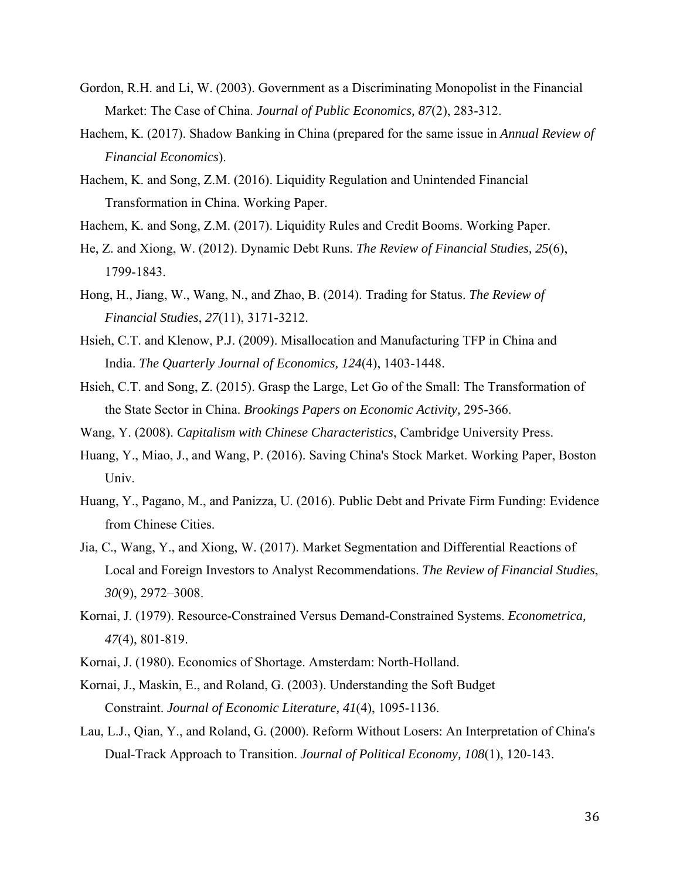- Gordon, R.H. and Li, W. (2003). Government as a Discriminating Monopolist in the Financial Market: The Case of China. *Journal of Public Economics, 87*(2), 283-312.
- Hachem, K. (2017). Shadow Banking in China (prepared for the same issue in *Annual Review of Financial Economics*).
- Hachem, K. and Song, Z.M. (2016). Liquidity Regulation and Unintended Financial Transformation in China. Working Paper.
- Hachem, K. and Song, Z.M. (2017). Liquidity Rules and Credit Booms. Working Paper.
- He, Z. and Xiong, W. (2012). Dynamic Debt Runs. *The Review of Financial Studies, 25*(6), 1799-1843.
- Hong, H., Jiang, W., Wang, N., and Zhao, B. (2014). Trading for Status. *The Review of Financial Studies*, *27*(11), 3171-3212.
- Hsieh, C.T. and Klenow, P.J. (2009). Misallocation and Manufacturing TFP in China and India. *The Quarterly Journal of Economics, 124*(4), 1403-1448.
- Hsieh, C.T. and Song, Z. (2015). Grasp the Large, Let Go of the Small: The Transformation of the State Sector in China. *Brookings Papers on Economic Activity,* 295-366.
- Wang, Y. (2008). *Capitalism with Chinese Characteristics*, Cambridge University Press.
- Huang, Y., Miao, J., and Wang, P. (2016). Saving China's Stock Market. Working Paper, Boston Univ.
- Huang, Y., Pagano, M., and Panizza, U. (2016). Public Debt and Private Firm Funding: Evidence from Chinese Cities.
- Jia, C., Wang, Y., and Xiong, W. (2017). Market Segmentation and Differential Reactions of Local and Foreign Investors to Analyst Recommendations. *The Review of Financial Studies*, *30*(9), 2972–3008.
- Kornai, J. (1979). Resource-Constrained Versus Demand-Constrained Systems. *Econometrica, 47*(4), 801-819.
- Kornai, J. (1980). Economics of Shortage. Amsterdam: North-Holland.
- Kornai, J., Maskin, E., and Roland, G. (2003). Understanding the Soft Budget Constraint. *Journal of Economic Literature, 41*(4), 1095-1136.
- Lau, L.J., Qian, Y., and Roland, G. (2000). Reform Without Losers: An Interpretation of China's Dual-Track Approach to Transition. *Journal of Political Economy, 108*(1), 120-143.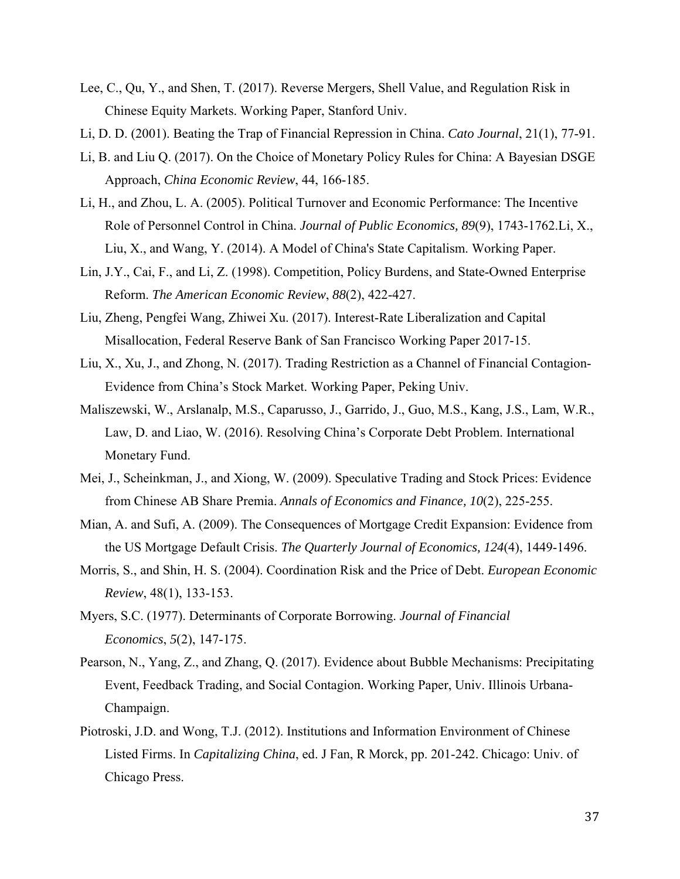- Lee, C., Qu, Y., and Shen, T. (2017). Reverse Mergers, Shell Value, and Regulation Risk in Chinese Equity Markets. Working Paper, Stanford Univ.
- Li, D. D. (2001). Beating the Trap of Financial Repression in China. *Cato Journal*, 21(1), 77-91.
- Li, B. and Liu Q. (2017). On the Choice of Monetary Policy Rules for China: A Bayesian DSGE Approach, *China Economic Review*, 44, 166-185.
- Li, H., and Zhou, L. A. (2005). Political Turnover and Economic Performance: The Incentive Role of Personnel Control in China. *Journal of Public Economics, 89*(9), 1743-1762.Li, X., Liu, X., and Wang, Y. (2014). A Model of China's State Capitalism. Working Paper.
- Lin, J.Y., Cai, F., and Li, Z. (1998). Competition, Policy Burdens, and State-Owned Enterprise Reform. *The American Economic Review*, *88*(2), 422-427.
- Liu, Zheng, Pengfei Wang, Zhiwei Xu. (2017). Interest-Rate Liberalization and Capital Misallocation, Federal Reserve Bank of San Francisco Working Paper 2017-15.
- Liu, X., Xu, J., and Zhong, N. (2017). Trading Restriction as a Channel of Financial Contagion-Evidence from China's Stock Market. Working Paper, Peking Univ.
- Maliszewski, W., Arslanalp, M.S., Caparusso, J., Garrido, J., Guo, M.S., Kang, J.S., Lam, W.R., Law, D. and Liao, W. (2016). Resolving China's Corporate Debt Problem. International Monetary Fund.
- Mei, J., Scheinkman, J., and Xiong, W. (2009). Speculative Trading and Stock Prices: Evidence from Chinese AB Share Premia. *Annals of Economics and Finance, 10*(2), 225-255.
- Mian, A. and Sufi, A. (2009). The Consequences of Mortgage Credit Expansion: Evidence from the US Mortgage Default Crisis. *The Quarterly Journal of Economics, 124*(4), 1449-1496.
- Morris, S., and Shin, H. S. (2004). Coordination Risk and the Price of Debt. *European Economic Review*, 48(1), 133-153.
- Myers, S.C. (1977). Determinants of Corporate Borrowing. *Journal of Financial Economics*, *5*(2), 147-175.
- Pearson, N., Yang, Z., and Zhang, Q. (2017). Evidence about Bubble Mechanisms: Precipitating Event, Feedback Trading, and Social Contagion. Working Paper, Univ. Illinois Urbana-Champaign.
- Piotroski, J.D. and Wong, T.J. (2012). Institutions and Information Environment of Chinese Listed Firms. In *Capitalizing China*, ed. J Fan, R Morck, pp. 201-242. Chicago: Univ. of Chicago Press.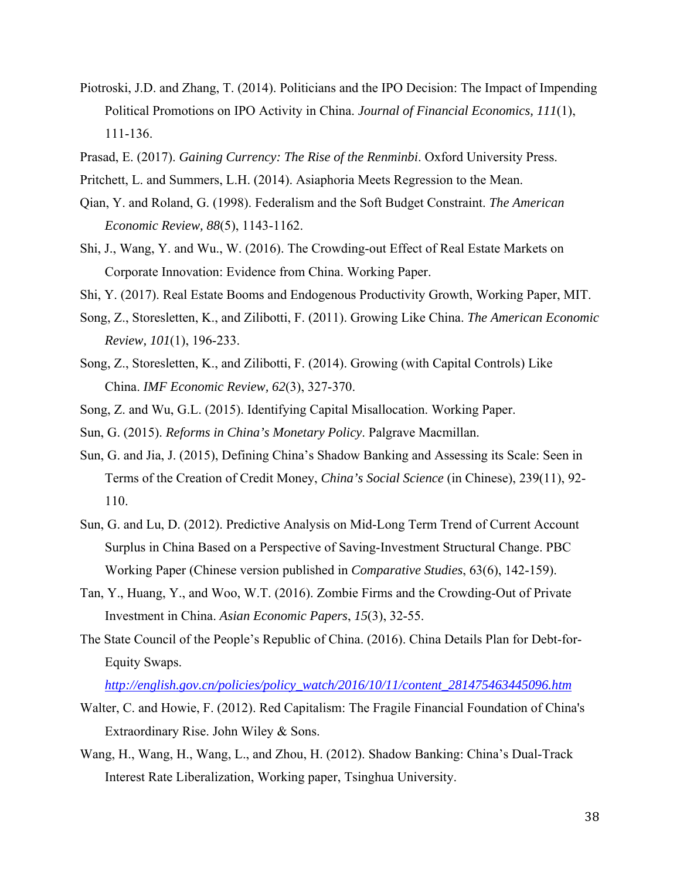- Piotroski, J.D. and Zhang, T. (2014). Politicians and the IPO Decision: The Impact of Impending Political Promotions on IPO Activity in China. *Journal of Financial Economics, 111*(1), 111-136.
- Prasad, E. (2017). *Gaining Currency: The Rise of the Renminbi*. Oxford University Press.
- Pritchett, L. and Summers, L.H. (2014). Asiaphoria Meets Regression to the Mean.
- Qian, Y. and Roland, G. (1998). Federalism and the Soft Budget Constraint. *The American Economic Review, 88*(5), 1143-1162.
- Shi, J., Wang, Y. and Wu., W. (2016). The Crowding-out Effect of Real Estate Markets on Corporate Innovation: Evidence from China. Working Paper.
- Shi, Y. (2017). Real Estate Booms and Endogenous Productivity Growth, Working Paper, MIT.
- Song, Z., Storesletten, K., and Zilibotti, F. (2011). Growing Like China. *The American Economic Review, 101*(1), 196-233.
- Song, Z., Storesletten, K., and Zilibotti, F. (2014). Growing (with Capital Controls) Like China. *IMF Economic Review, 62*(3), 327-370.
- Song, Z. and Wu, G.L. (2015). Identifying Capital Misallocation. Working Paper.
- Sun, G. (2015). *Reforms in China's Monetary Policy*. Palgrave Macmillan.
- Sun, G. and Jia, J. (2015), Defining China's Shadow Banking and Assessing its Scale: Seen in Terms of the Creation of Credit Money, *China's Social Science* (in Chinese), 239(11), 92- 110.
- Sun, G. and Lu, D. (2012). Predictive Analysis on Mid-Long Term Trend of Current Account Surplus in China Based on a Perspective of Saving-Investment Structural Change. PBC Working Paper (Chinese version published in *Comparative Studies*, 63(6), 142-159).
- Tan, Y., Huang, Y., and Woo, W.T. (2016). Zombie Firms and the Crowding-Out of Private Investment in China. *Asian Economic Papers*, *15*(3), 32-55.
- The State Council of the People's Republic of China. (2016). China Details Plan for Debt-for-Equity Swaps.

*http://english.gov.cn/policies/policy\_watch/2016/10/11/content\_281475463445096.htm*

- Walter, C. and Howie, F. (2012). Red Capitalism: The Fragile Financial Foundation of China's Extraordinary Rise. John Wiley & Sons.
- Wang, H., Wang, H., Wang, L., and Zhou, H. (2012). Shadow Banking: China's Dual-Track Interest Rate Liberalization, Working paper, Tsinghua University.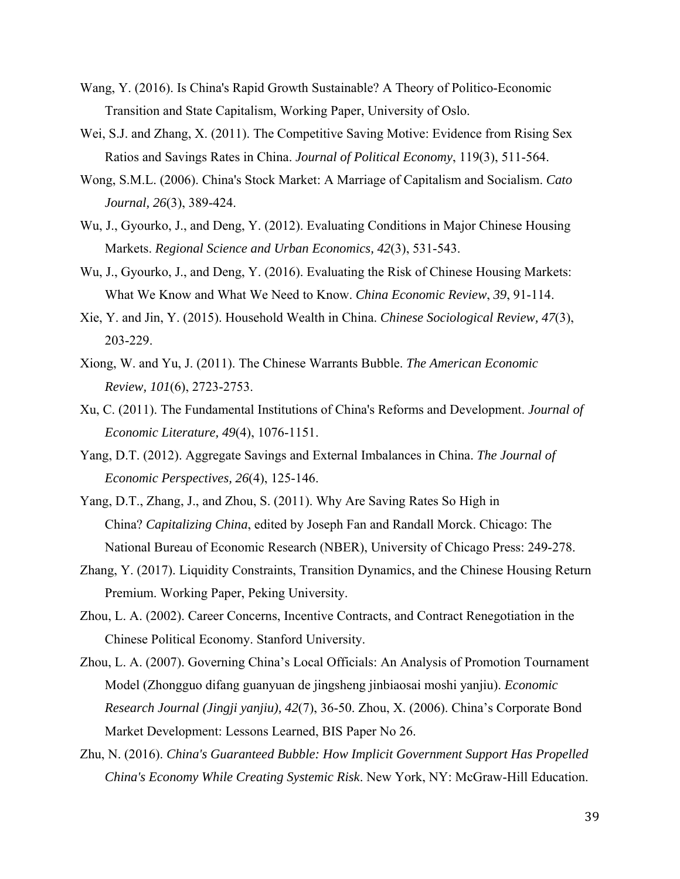- Wang, Y. (2016). Is China's Rapid Growth Sustainable? A Theory of Politico-Economic Transition and State Capitalism, Working Paper, University of Oslo.
- Wei, S.J. and Zhang, X. (2011). The Competitive Saving Motive: Evidence from Rising Sex Ratios and Savings Rates in China. *Journal of Political Economy*, 119(3), 511-564.
- Wong, S.M.L. (2006). China's Stock Market: A Marriage of Capitalism and Socialism. *Cato Journal, 26*(3), 389-424.
- Wu, J., Gyourko, J., and Deng, Y. (2012). Evaluating Conditions in Major Chinese Housing Markets. *Regional Science and Urban Economics, 42*(3), 531-543.
- Wu, J., Gyourko, J., and Deng, Y. (2016). Evaluating the Risk of Chinese Housing Markets: What We Know and What We Need to Know. *China Economic Review*, *39*, 91-114.
- Xie, Y. and Jin, Y. (2015). Household Wealth in China. *Chinese Sociological Review, 47*(3), 203-229.
- Xiong, W. and Yu, J. (2011). The Chinese Warrants Bubble. *The American Economic Review, 101*(6), 2723-2753.
- Xu, C. (2011). The Fundamental Institutions of China's Reforms and Development. *Journal of Economic Literature, 49*(4), 1076-1151.
- Yang, D.T. (2012). Aggregate Savings and External Imbalances in China. *The Journal of Economic Perspectives, 26*(4), 125-146.
- Yang, D.T., Zhang, J., and Zhou, S. (2011). Why Are Saving Rates So High in China? *Capitalizing China*, edited by Joseph Fan and Randall Morck. Chicago: The National Bureau of Economic Research (NBER), University of Chicago Press: 249-278.
- Zhang, Y. (2017). Liquidity Constraints, Transition Dynamics, and the Chinese Housing Return Premium. Working Paper, Peking University.
- Zhou, L. A. (2002). Career Concerns, Incentive Contracts, and Contract Renegotiation in the Chinese Political Economy. Stanford University.
- Zhou, L. A. (2007). Governing China's Local Officials: An Analysis of Promotion Tournament Model (Zhongguo difang guanyuan de jingsheng jinbiaosai moshi yanjiu). *Economic Research Journal (Jingji yanjiu), 42*(7), 36-50. Zhou, X. (2006). China's Corporate Bond Market Development: Lessons Learned, BIS Paper No 26.
- Zhu, N. (2016). *China's Guaranteed Bubble: How Implicit Government Support Has Propelled China's Economy While Creating Systemic Risk*. New York, NY: McGraw-Hill Education.